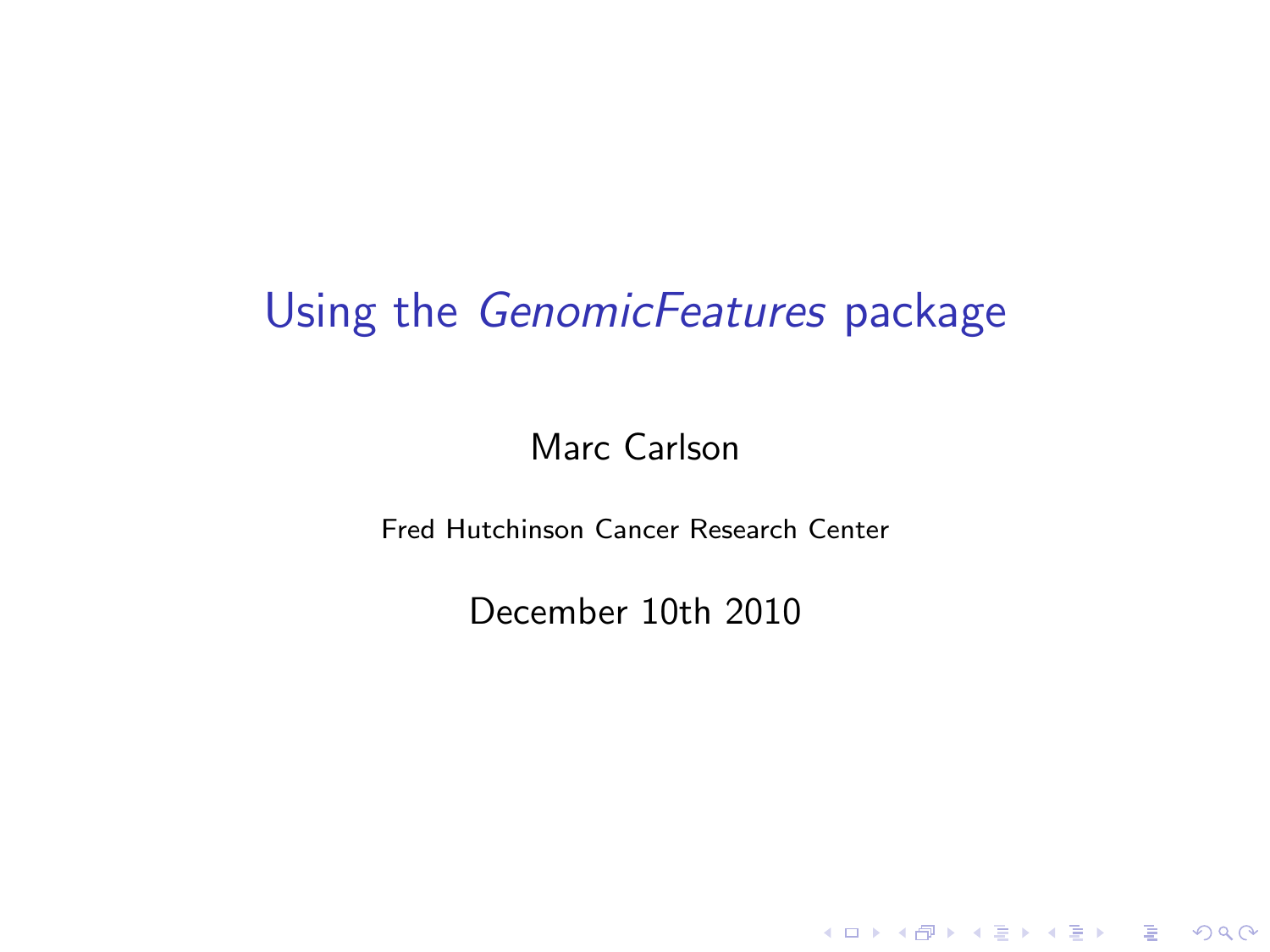# Using the [GenomicFeatures](http://bioconductor.org/packages/release/bioc/html/GenomicFeatures.html) package

#### Marc Carlson

Fred Hutchinson Cancer Research Center

December 10th 2010

KO KKOKKEKKEK E DAG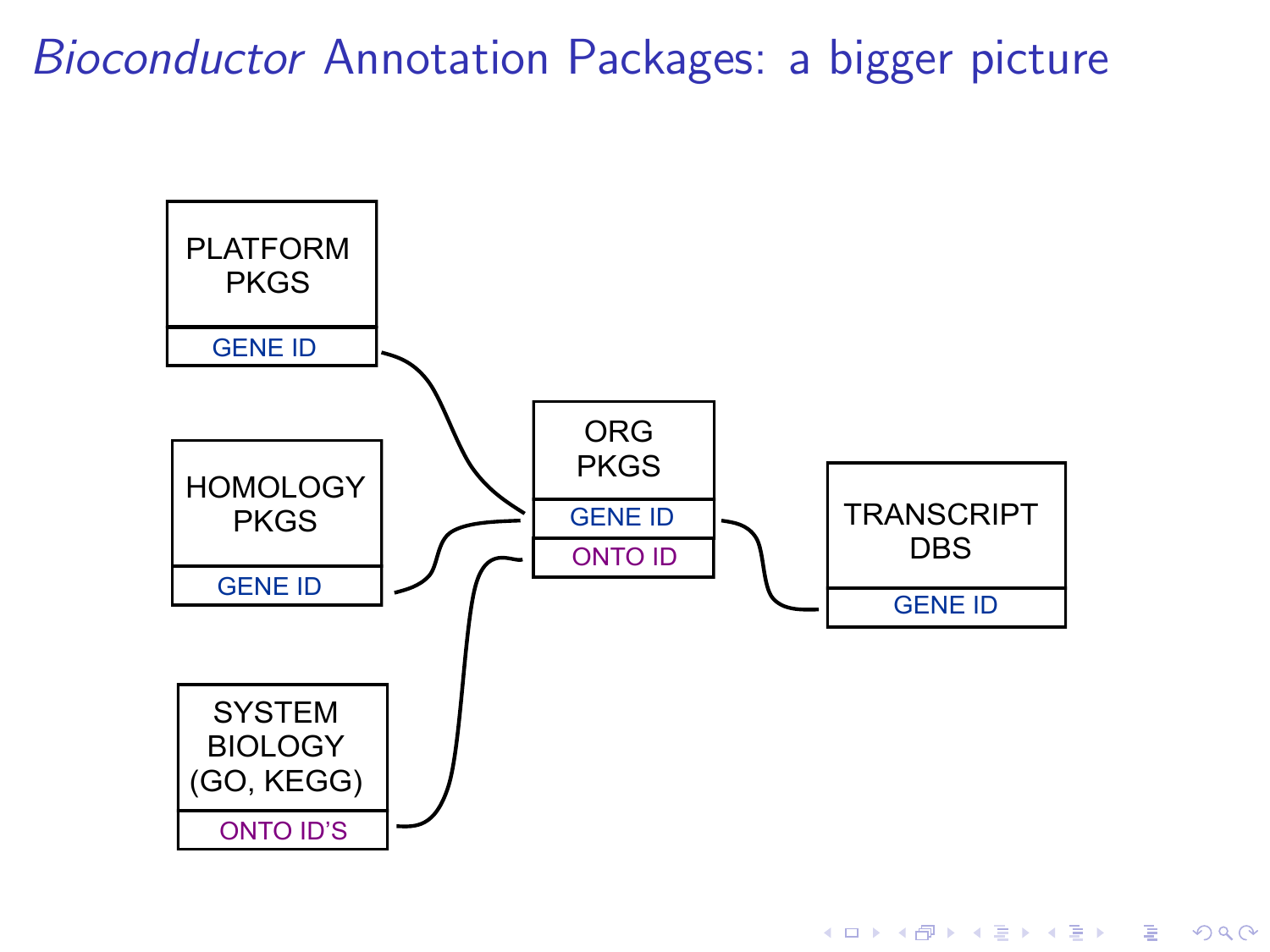Bioconductor Annotation Packages: a bigger picture



K ロ ▶ K 個 ▶ K 결 ▶ K 결 ▶ │ 결 │ K 9 Q Q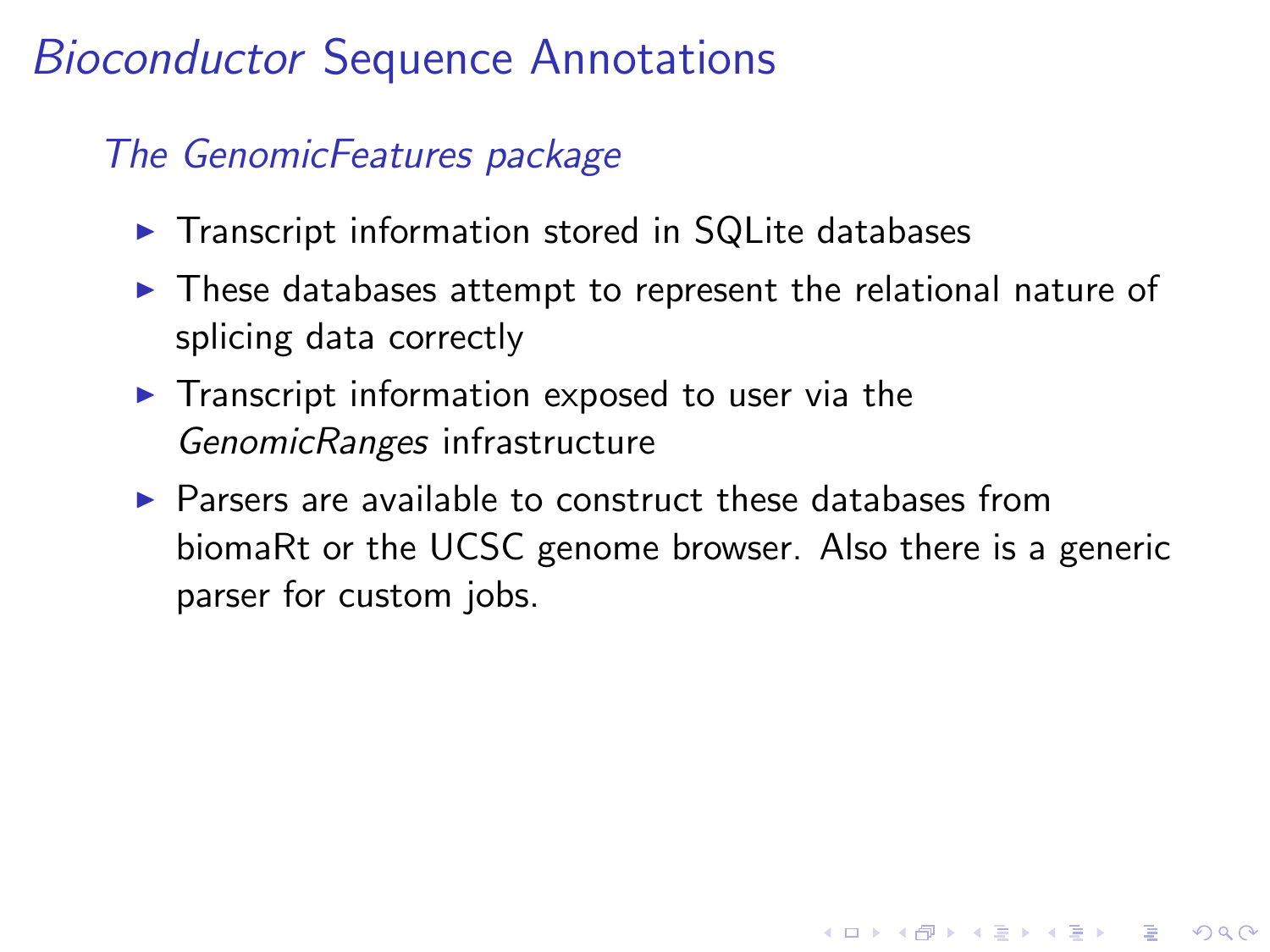# Bioconductor Sequence Annotations

### [The GenomicFeatures package](http://bioconductor.org/packages/release/bioc/html/The GenomicFeatures package.html)

- $\blacktriangleright$  Transcript information stored in SQLite databases
- $\triangleright$  These databases attempt to represent the relational nature of splicing data correctly
- $\blacktriangleright$  Transcript information exposed to user via the [GenomicRanges](http://bioconductor.org/packages/release/bioc/html/GenomicRanges.html) infrastructure
- <span id="page-2-0"></span> $\blacktriangleright$  Parsers are available to construct these databases from biomaRt or the UCSC genome browser. Also there is a generic parser for custom jobs.

4 0 > 4 4 + 4 = + 4 = + = + + 0 4 0 +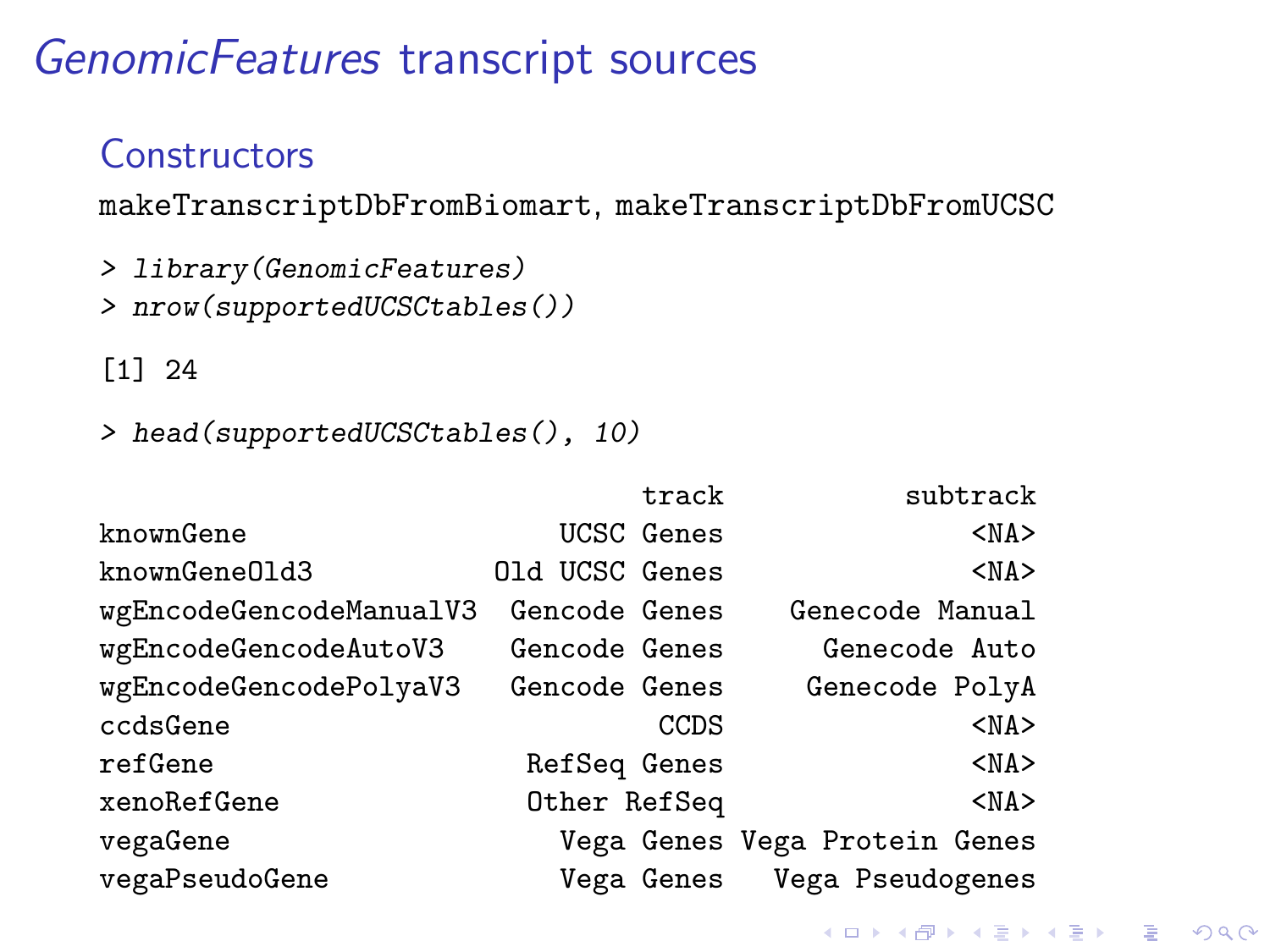## [GenomicFeatures](http://bioconductor.org/packages/release/bioc/html/GenomicFeatures.html) transcript sources

### **Constructors**

makeTranscriptDbFromBiomart, makeTranscriptDbFromUCSC

> library(GenomicFeatures)

> nrow(supportedUCSCtables())

[1] 24

> head(supportedUCSCtables(), 10)

<span id="page-3-0"></span>

|                         |                | track      | subtrack                      |
|-------------------------|----------------|------------|-------------------------------|
| knownGene               |                | UCSC Genes | $<$ NA $>$                    |
| knownGene01d3           | 01d UCSC Genes |            | $<$ NA $>$                    |
| wgEncodeGencodeManualV3 | Gencode Genes  |            | Genecode Manual               |
| wgEncodeGencodeAutoV3   | Gencode Genes  |            | Genecode Auto                 |
| wgEncodeGencodePolyaV3  | Gencode Genes  |            | Genecode PolyA                |
| ccdsGene                |                | CCDS       | $<$ NA $>$                    |
| refGene                 | RefSeq Genes   |            | $<$ NA $>$                    |
| xenoRefGene             | Other RefSeq   |            | $<$ NA $>$                    |
| vegaGene                |                |            | Vega Genes Vega Protein Genes |
| vegaPseudoGene          |                | Vega Genes | Vega Pseudogenes              |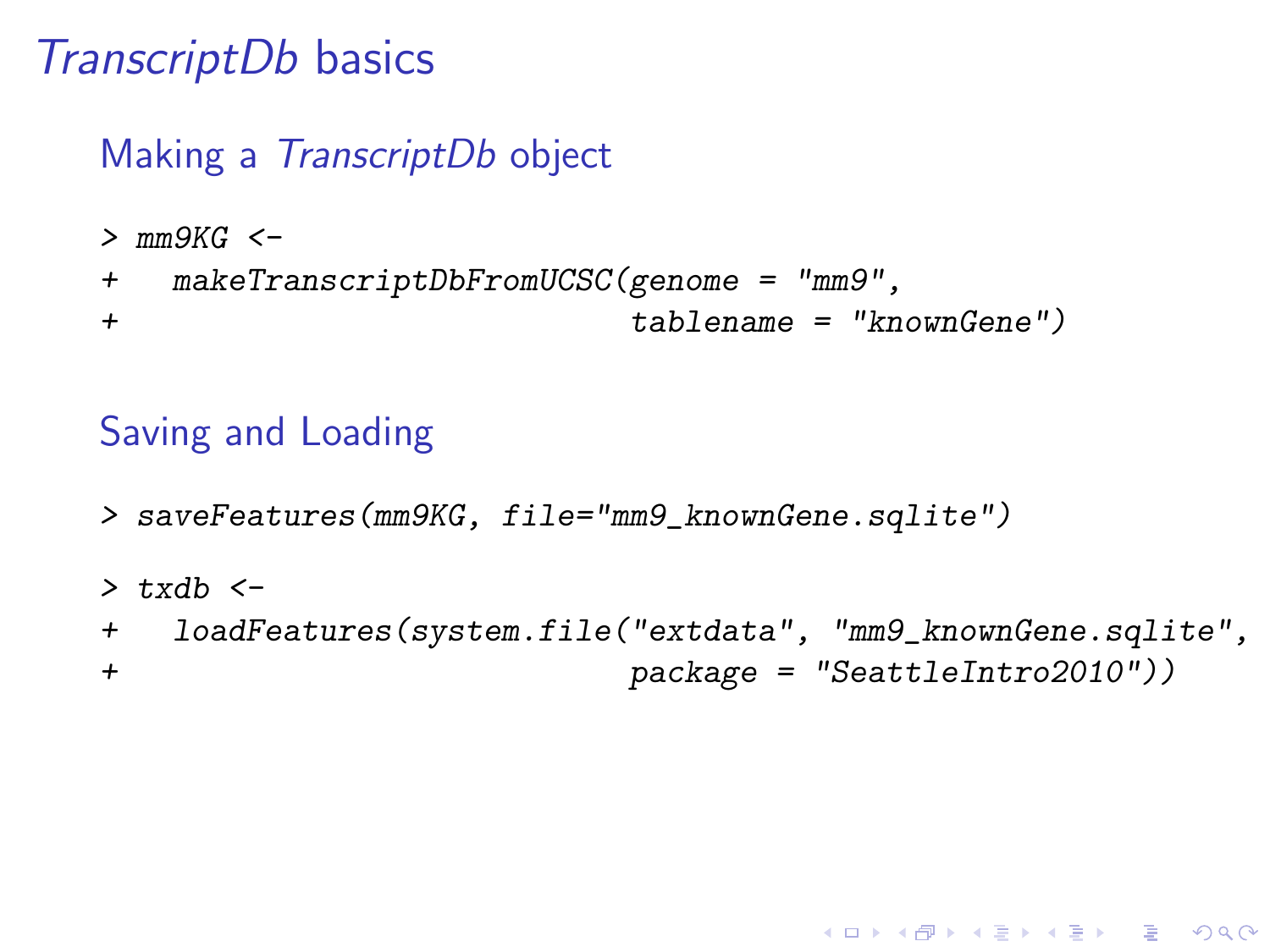# TranscriptDb basics

### Making a *TranscriptDb* object

 $> mm9KG < -$ 

+ makeTranscriptDbFromUCSC(genome = "mm9", + tablename = "knownGene")

### Saving and Loading

- > saveFeatures(mm9KG, file="mm9\_knownGene.sqlite")
- $>$  txdb  $<-$
- + loadFeatures(system.file("extdata", "mm9\_knownGene.sqlite", + package = "SeattleIntro2010"))

**KORKARA REPASA DA VOCA**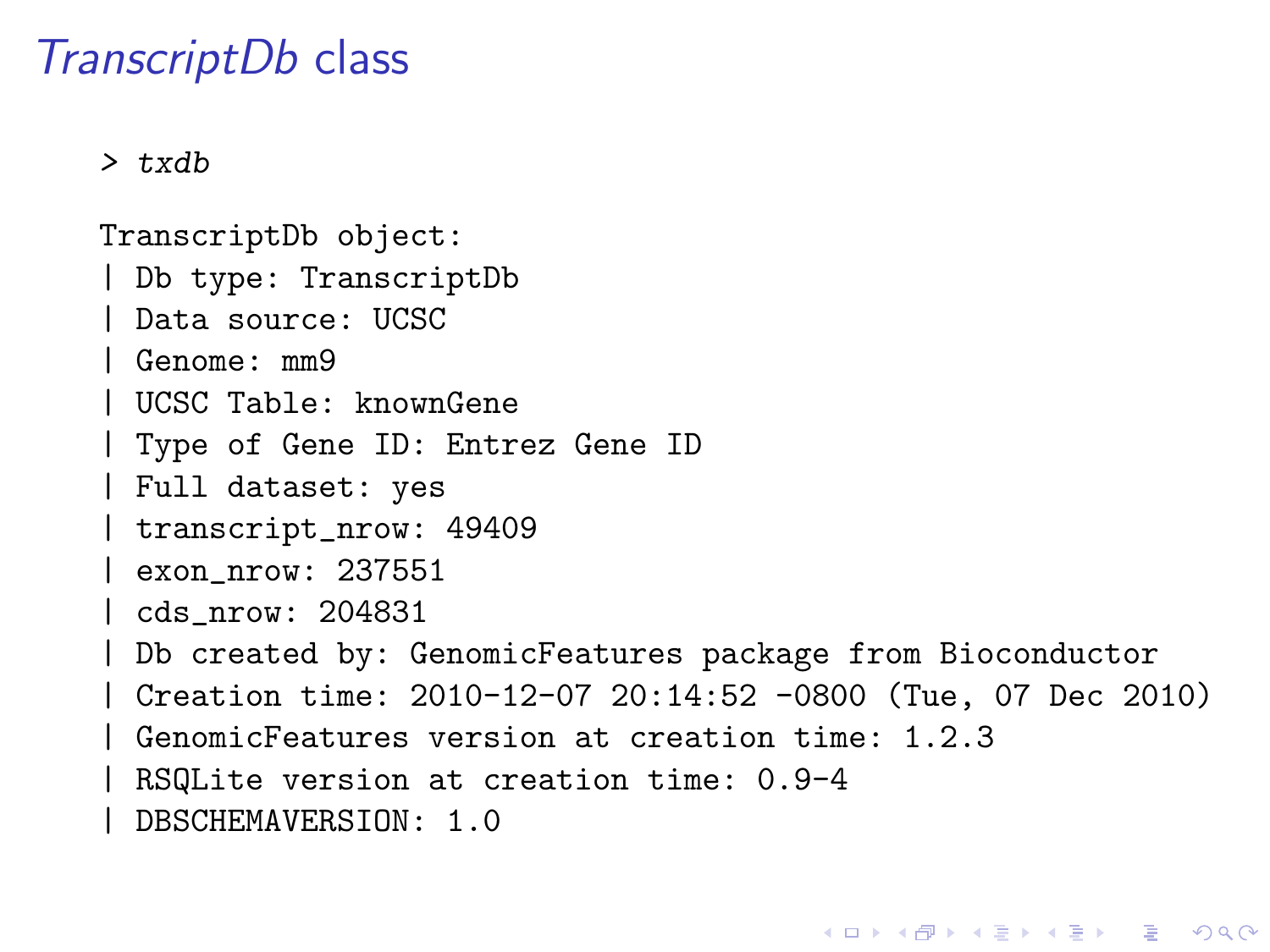## TranscriptDb class

```
> txdb
```

```
TranscriptDb object:
| Db type: TranscriptDb
 Data source: UCSC
 | Genome: mm9
| UCSC Table: knownGene
| Type of Gene ID: Entrez Gene ID
| Full dataset: yes
| transcript_nrow: 49409
 | exon_nrow: 237551
 | cds_nrow: 204831
  Db created by: GenomicFeatures package from Bioconductor
 | Creation time: 2010-12-07 20:14:52 -0800 (Tue, 07 Dec 2010)
| GenomicFeatures version at creation time: 1.2.3
 RSQLite version at creation time: 0.9-4
  | DBSCHEMAVERSION: 1.0
```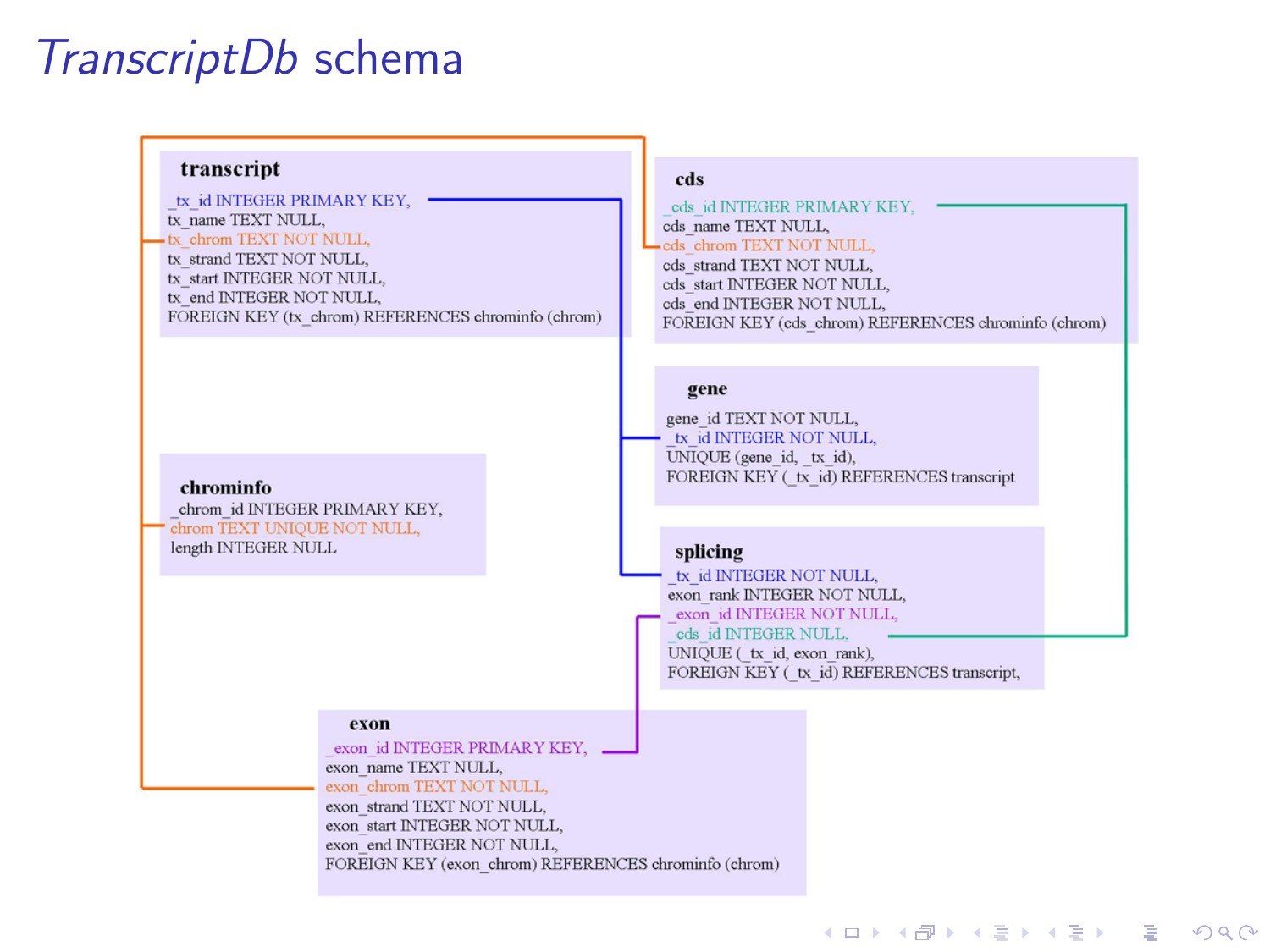## TranscriptDb schema

<span id="page-6-0"></span>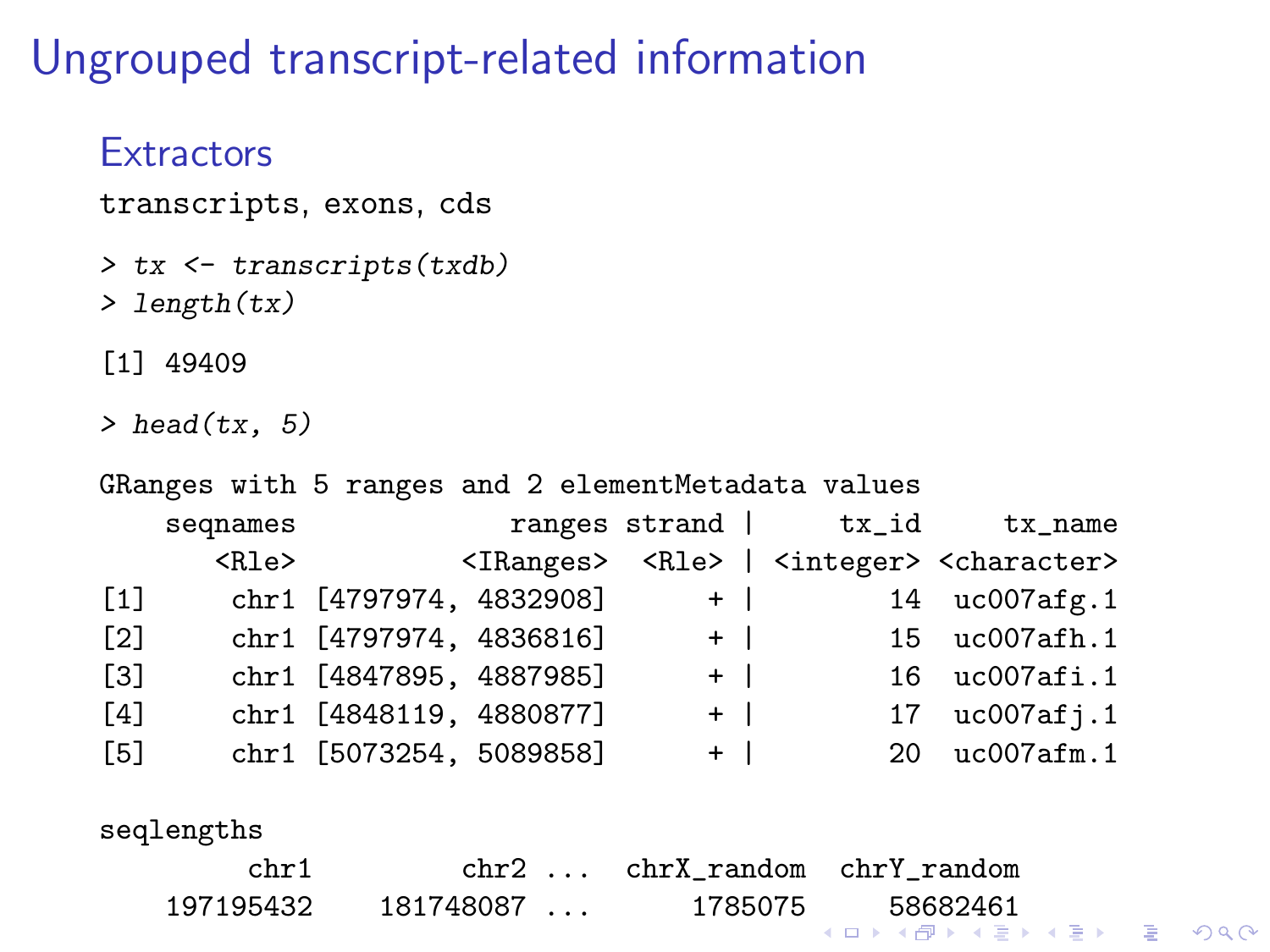## Ungrouped transcript-related information

#### **Extractors**

transcripts, exons, cds

```
> tx <- transcripts(txdb)
> length(tx)
```
[1] 49409

> head( $tx, 5$ )

GRanges with 5 ranges and 2 elementMetadata values

|                   | seqnames |                         | ranges strand | tx_id | $tx_name$                                                                     |
|-------------------|----------|-------------------------|---------------|-------|-------------------------------------------------------------------------------|
|                   | $Rle$    |                         |               |       | <iranges> <rle>   <integer> <character></character></integer></rle></iranges> |
| $[1]$             |          | chr1 [4797974, 4832908] | $+$           |       | 14 uc007afg.1                                                                 |
| $\lceil 2 \rceil$ |          | chr1 [4797974, 4836816] | $+$           |       | 15 uc007afh.1                                                                 |
| <b>[3]</b>        |          | chr1 [4847895, 4887985] | $+$           |       | 16 uc007afi.1                                                                 |
| $\lceil 4 \rceil$ |          | chr1 [4848119, 4880877] | $+$           |       | 17 uc007afj.1                                                                 |
| <b>F51</b>        |          | chr1 [5073254, 5089858] | $+$           |       | 20 uc007afm.1                                                                 |

<span id="page-7-0"></span>seqlengths

chr1 chr2 ... chrX\_random chrY\_random 197195432 181748087 ... 1785075 [5](#page-6-0)[86](#page-7-0)[82](#page-8-0)[4](#page-2-0)[6](#page-3-0)[1](#page-13-0)<br>197195432 181748087 ... 1785075 58682461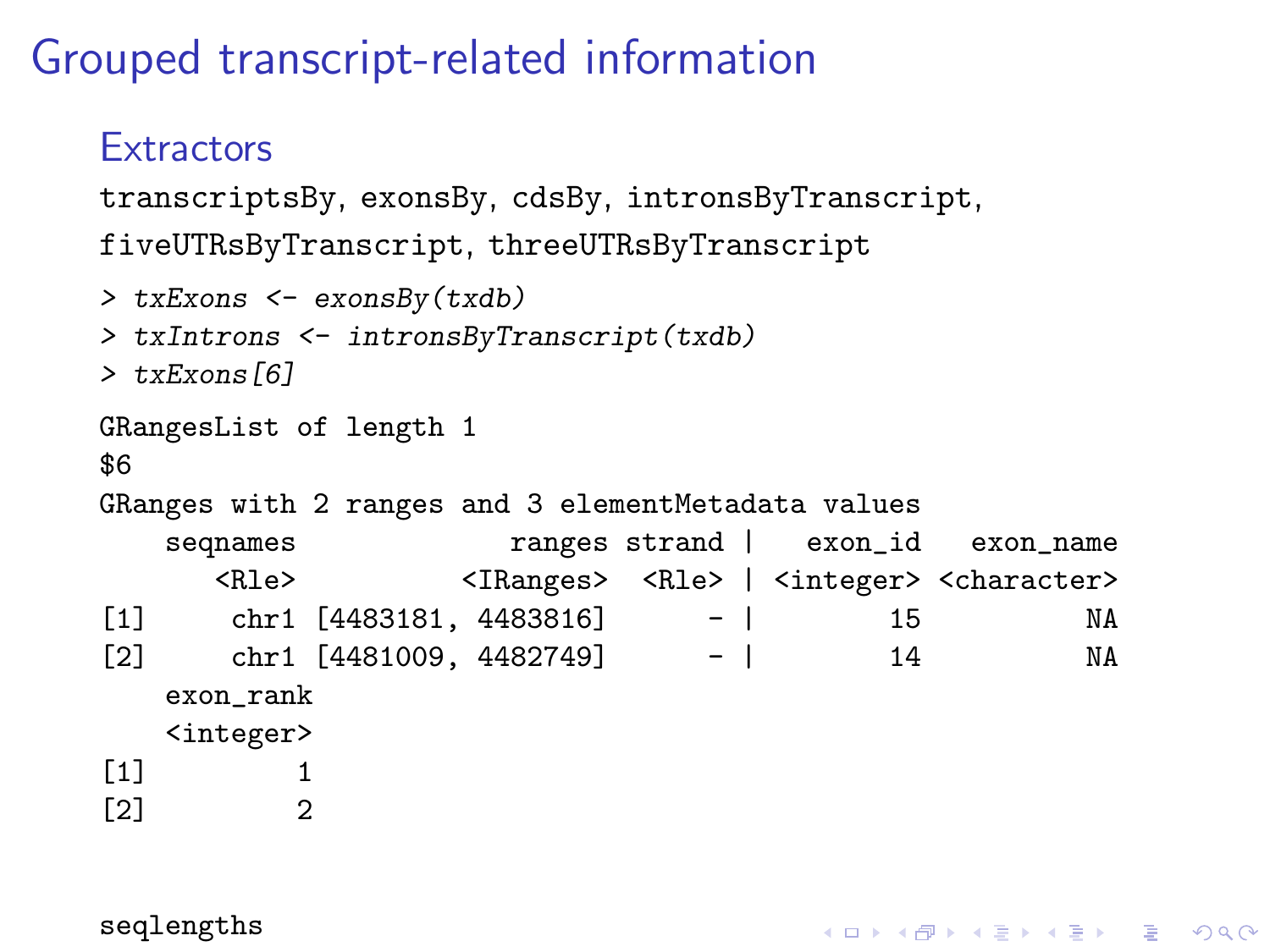# Grouped transcript-related information

### **Extractors**

transcriptsBy, exonsBy, cdsBy, intronsByTranscript, fiveUTRsByTranscript, threeUTRsByTranscript

```
> txExons <- exonsBy(txdb)
> txIntrons <- intronsByTranscript(txdb)
\frac{\Sigma_{\text{txFxons}}}{\Sigma_{\text{tx}}^2}GRangesList of length 1
$6
GRanges with 2 ranges and 3 elementMetadata values
   seqnames ranges strand | exon_id exon_name
      <Rle> <IRanges> <Rle> | <integer> <character>
[1] chr1 [4483181, 4483816] - | 15 NA
[2] chr1 [4481009, 4482749] - | 14 NA
   exon_rank
   <integer>
[1] 1
\begin{bmatrix} 2 \end{bmatrix} 2
```
**KOD KAD KED KED DRA** 

<span id="page-8-0"></span>seqlengths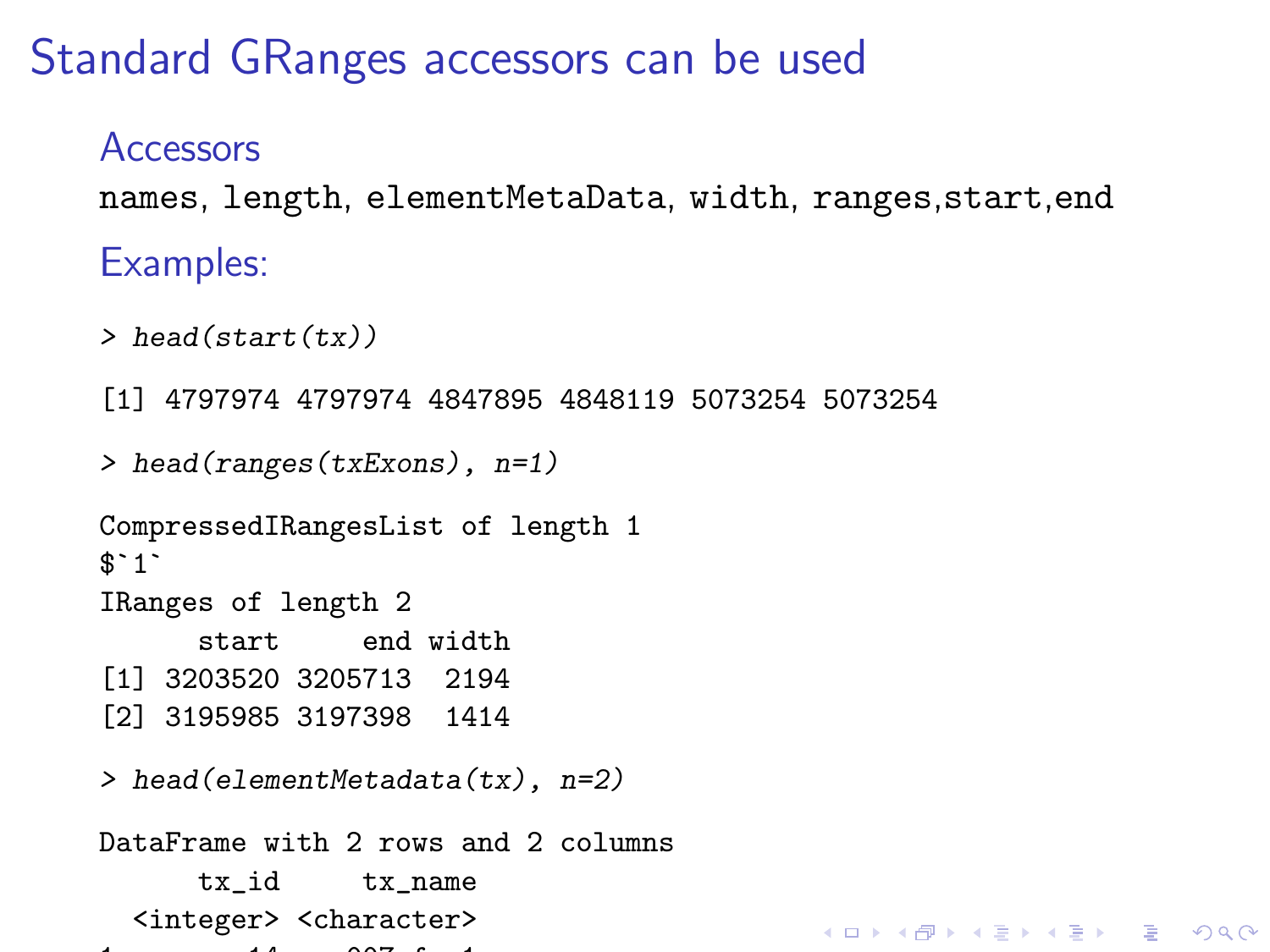# Standard GRanges accessors can be used

Accessors

names, length, elementMetaData, width, ranges,start,end Examples:

**KOD KAD KED KED DRA** 

```
\geq head(start(tx))
```
[1] 4797974 4797974 4847895 4848119 5073254 5073254

```
> head(ranges(txExons), n=1)
```

```
CompressedIRangesList of length 1
$^{\circ}1^{\circ}IRanges of length 2
      start end width
[1] 3203520 3205713 2194
[2] 3195985 3197398 1414
> head(elementMetadata(tx), n=2)
DataFrame with 2 rows and 2 columns
      tx_id tx_name
  <integer> <character>
```

```
1 14 0.000 1
```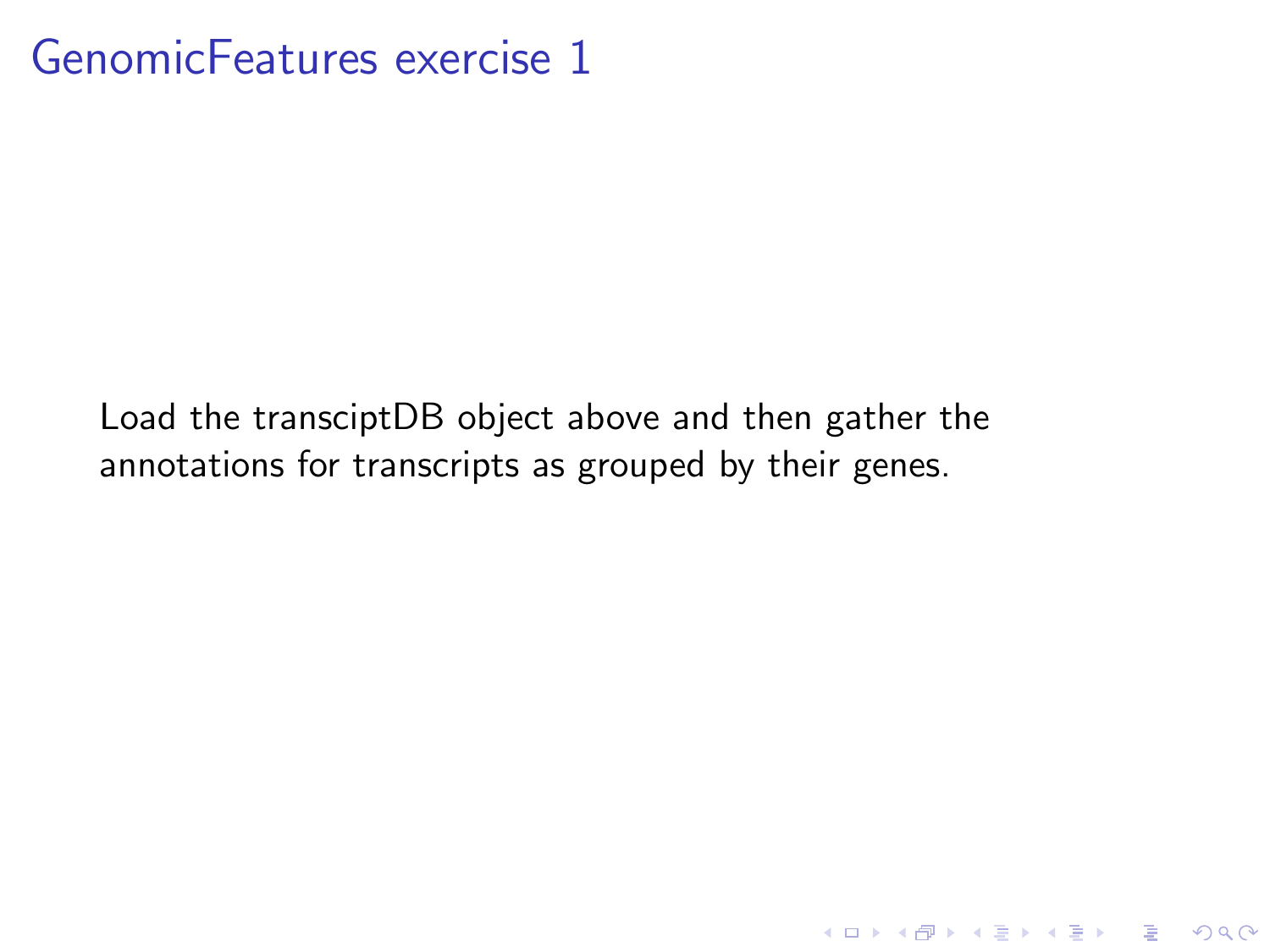## GenomicFeatures exercise 1

Load the transciptDB object above and then gather the annotations for transcripts as grouped by their genes.

K ロ ▶ K 個 ▶ K 할 ▶ K 할 ▶ 이 할 → 9 Q Q →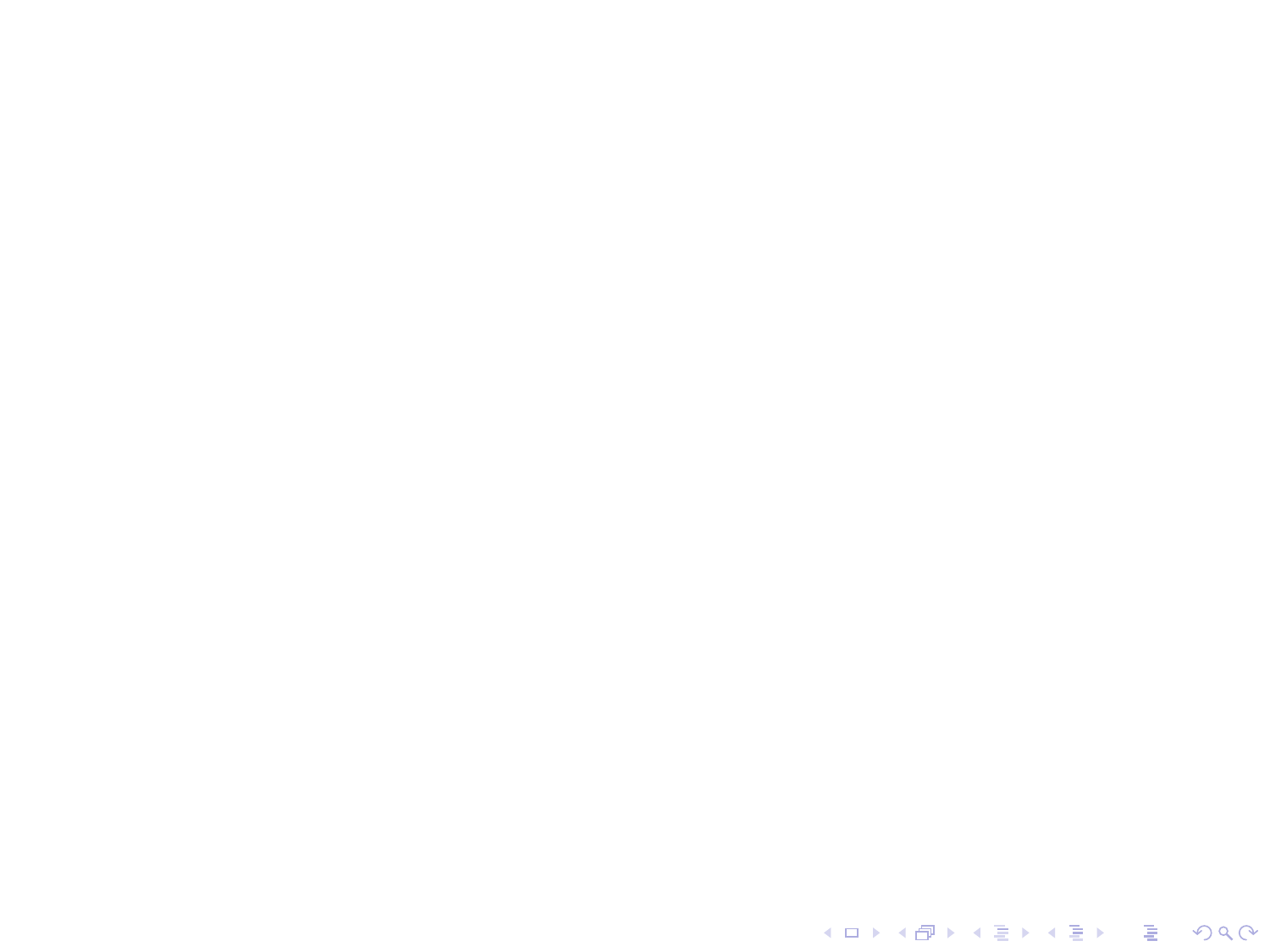K ロ K K d K K B K K B K X A K K K G K C K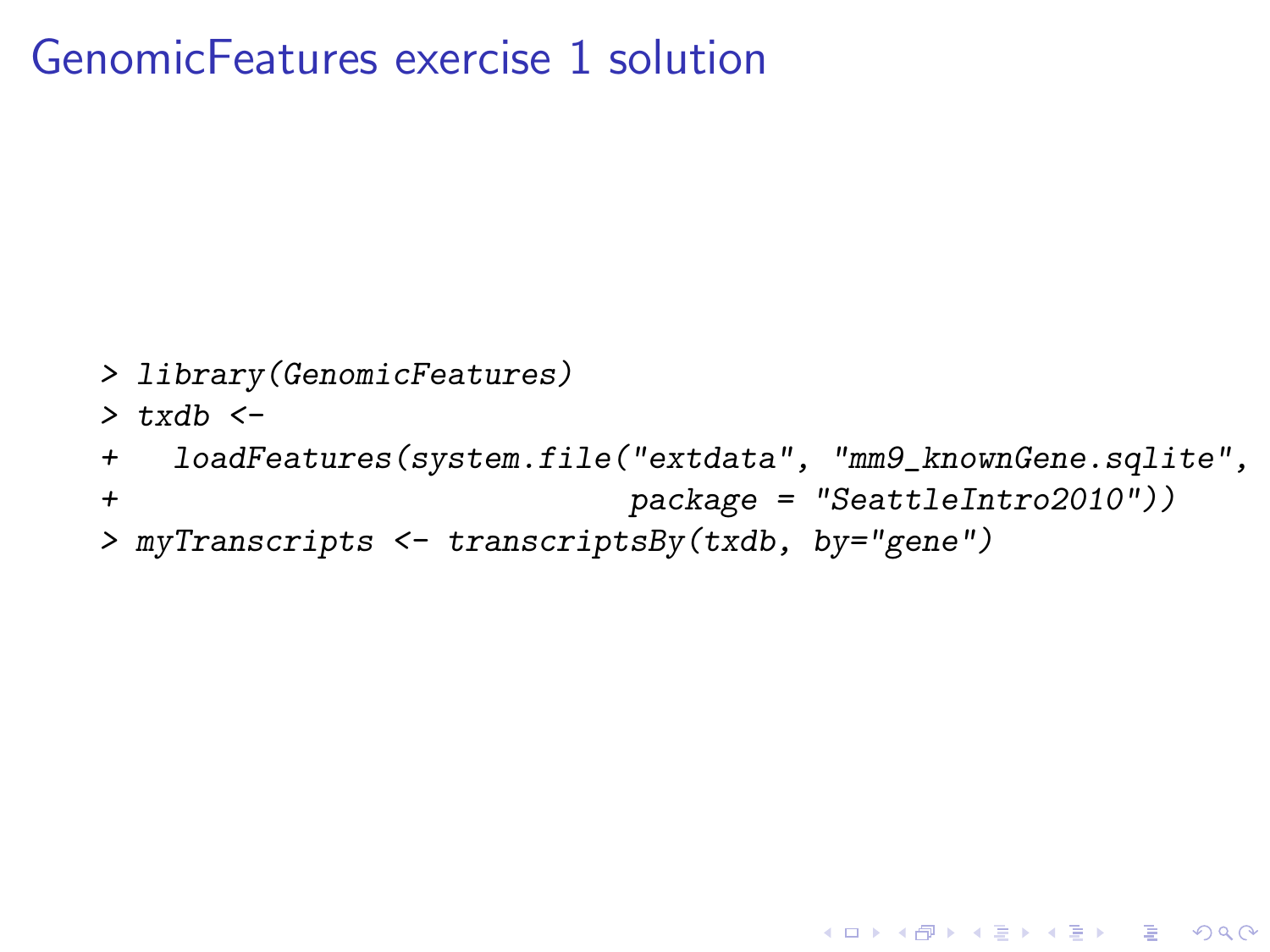## GenomicFeatures exercise 1 solution

- > library(GenomicFeatures)
- $>$  txdb  $<-$
- + loadFeatures(system.file("extdata", "mm9\_knownGene.sqlite", + package = "SeattleIntro2010"))

**KOD KAD KED KED DRA** 

> myTranscripts <- transcriptsBy(txdb, by="gene")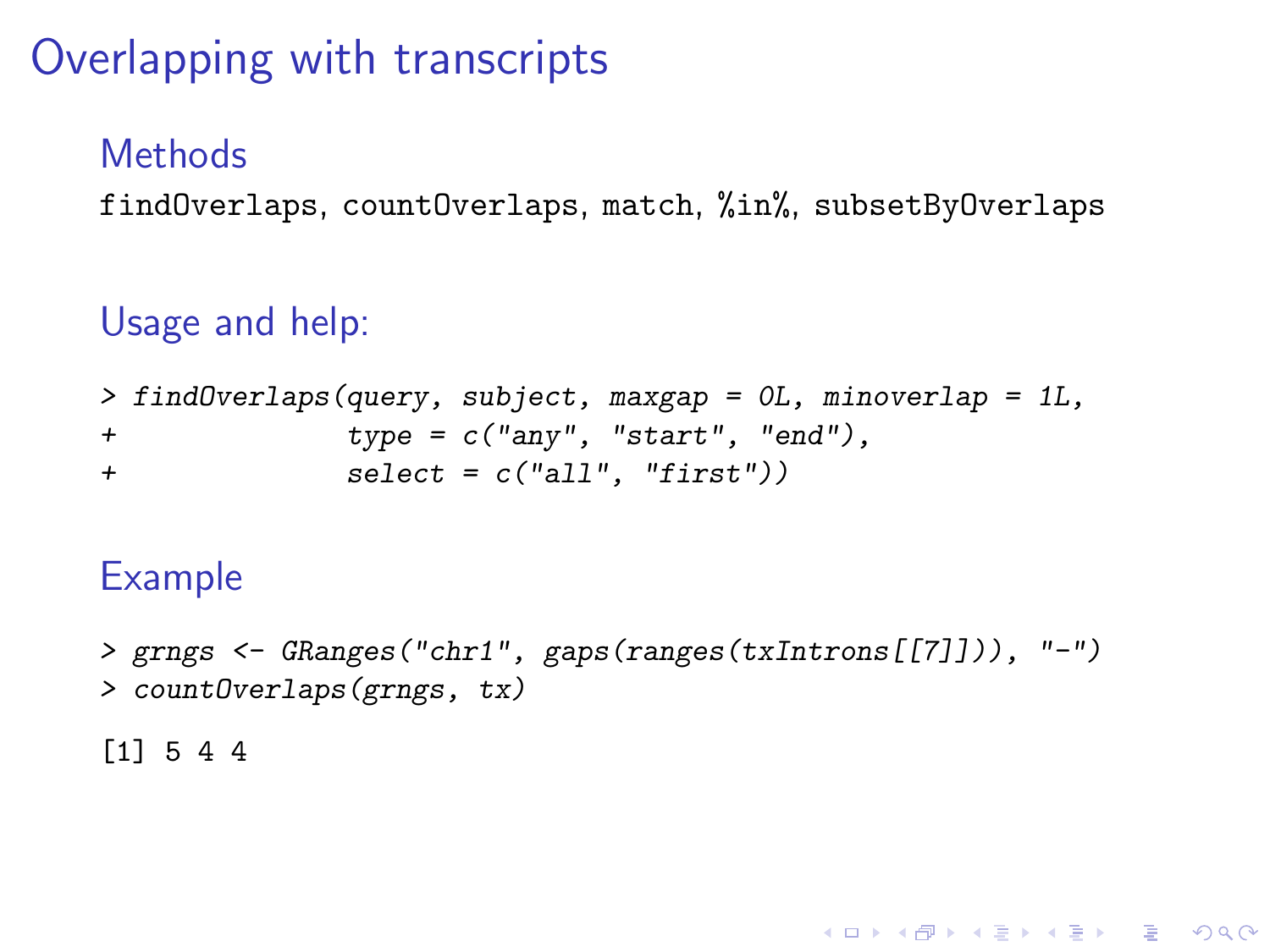# Overlapping with transcripts

### **Methods**

findOverlaps, countOverlaps, match, %in%, subsetByOverlaps

### Usage and help:

```
> findOverlaps(query, subject, maxgap = 0L, minoverlap = 1L,
+ type = c("any", "start", "end"),+ select = c("all", "first"))
```
### Example

> grngs <- GRanges("chr1", gaps(ranges(txIntrons[[7]])), "-") > countOverlaps(grngs, tx)

**KOD KAD KED KED DRA** 

<span id="page-13-0"></span>[1] 5 4 4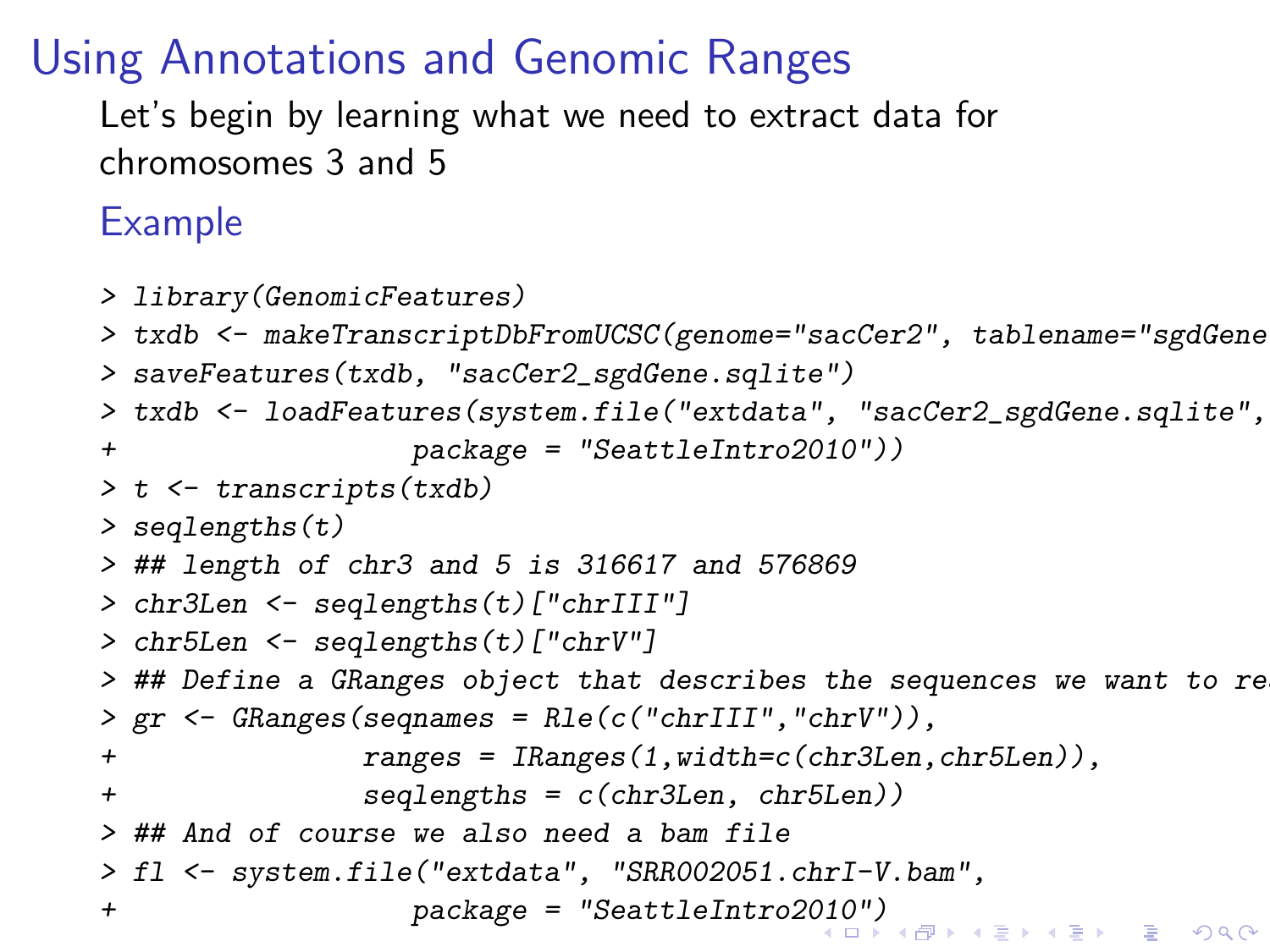# Using Annotations and Genomic Ranges

Let's begin by learning what we need to extract data for chromosomes 3 and 5

### Example

```
> library(GenomicFeatures)
> txdb <- makeTranscriptDbFromUCSC(genome="sacCer2", tablename="sgdGene
> saveFeatures(txdb, "sacCer2_sgdGene.sqlite")
> txdb <- loadFeatures(system.file("extdata", "sacCer2_sgdGene.sqlite",
+ package = "SeattleIntro2010"))
> t <- transcripts(txdb)
> seqlengths(t)
> ## length of chr3 and 5 is 316617 and 576869
> chr3Len <- seqlengths(t)["chrIII"]
> chr5Len <- seqlengths(t)["chrV"]
> ## Define a GRanges object that describes the sequences we want to re
> gr \leq GRanges(seqnames = Rle(c("chrIII","chrV")),
+ ranges = IRanges(1,width=c(chr3Len,chr5Len)),
+ seqlengths = c(chr3Len, chr5Len))
> ## And of course we also need a bam file
> fl <- system.file("extdata", "SRR002051.chrI-V.bam",
+010")
```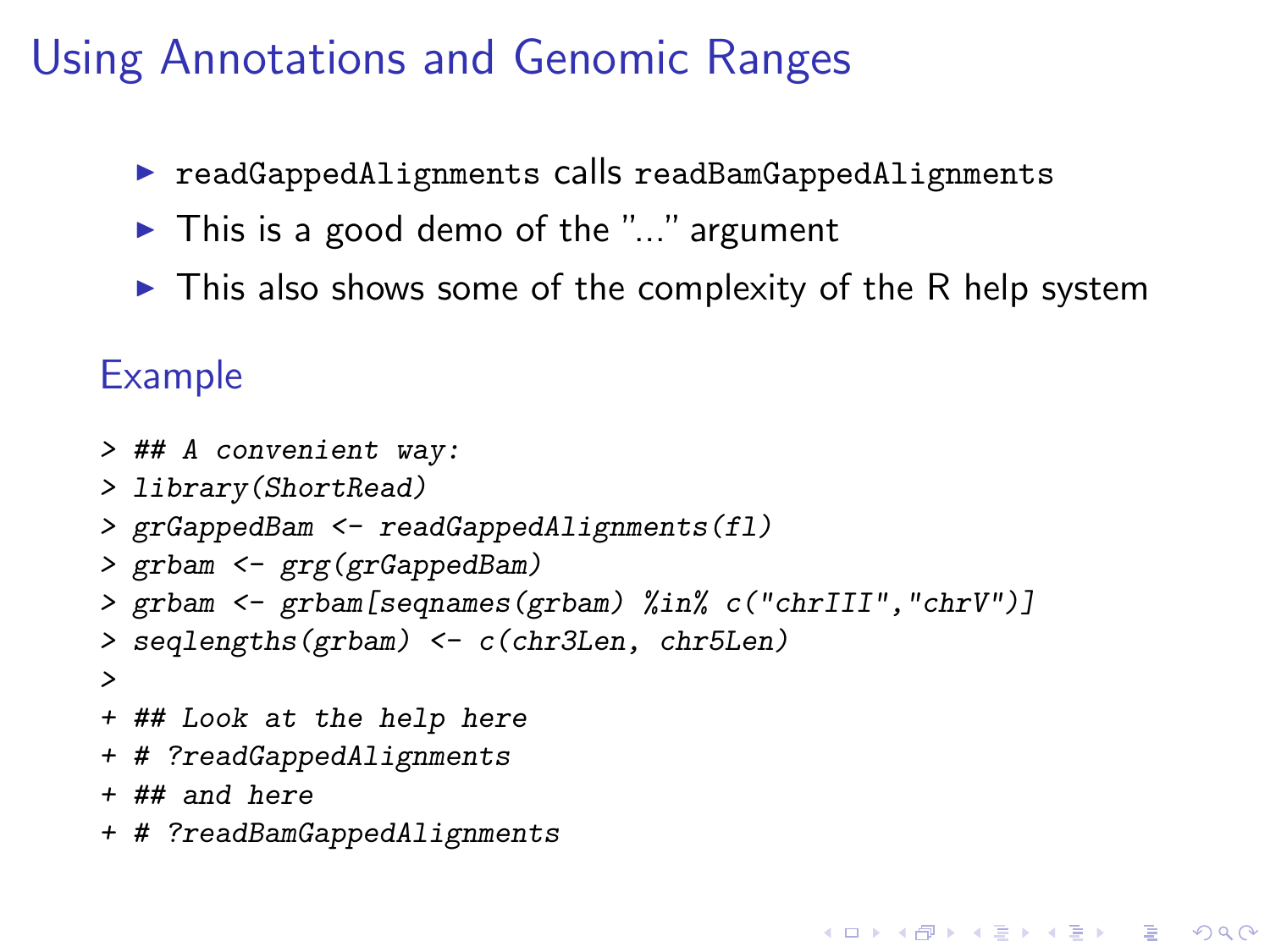# Using Annotations and Genomic Ranges

- ▶ readGappedAlignments calls readBamGappedAlignments
- $\triangleright$  This is a good demo of the "..." argument
- $\triangleright$  This also shows some of the complexity of the R help system

### Example

```
> ## A convenient way:
> library(ShortRead)
> grGappedBam <- readGappedAlignments(fl)
> grbam <- grg(grGappedBam)
> grbam <- grbam[seqnames(grbam) %in% c("chrIII","chrV")]
> seqlengths(grbam) <- c(chr3Len, chr5Len)
>
+ ## Look at the help here
+ # ?readGappedAlignments
+ ## and here
+ # ?readBamGappedAlignments
```
**KORKARA REPASA DA VOCA**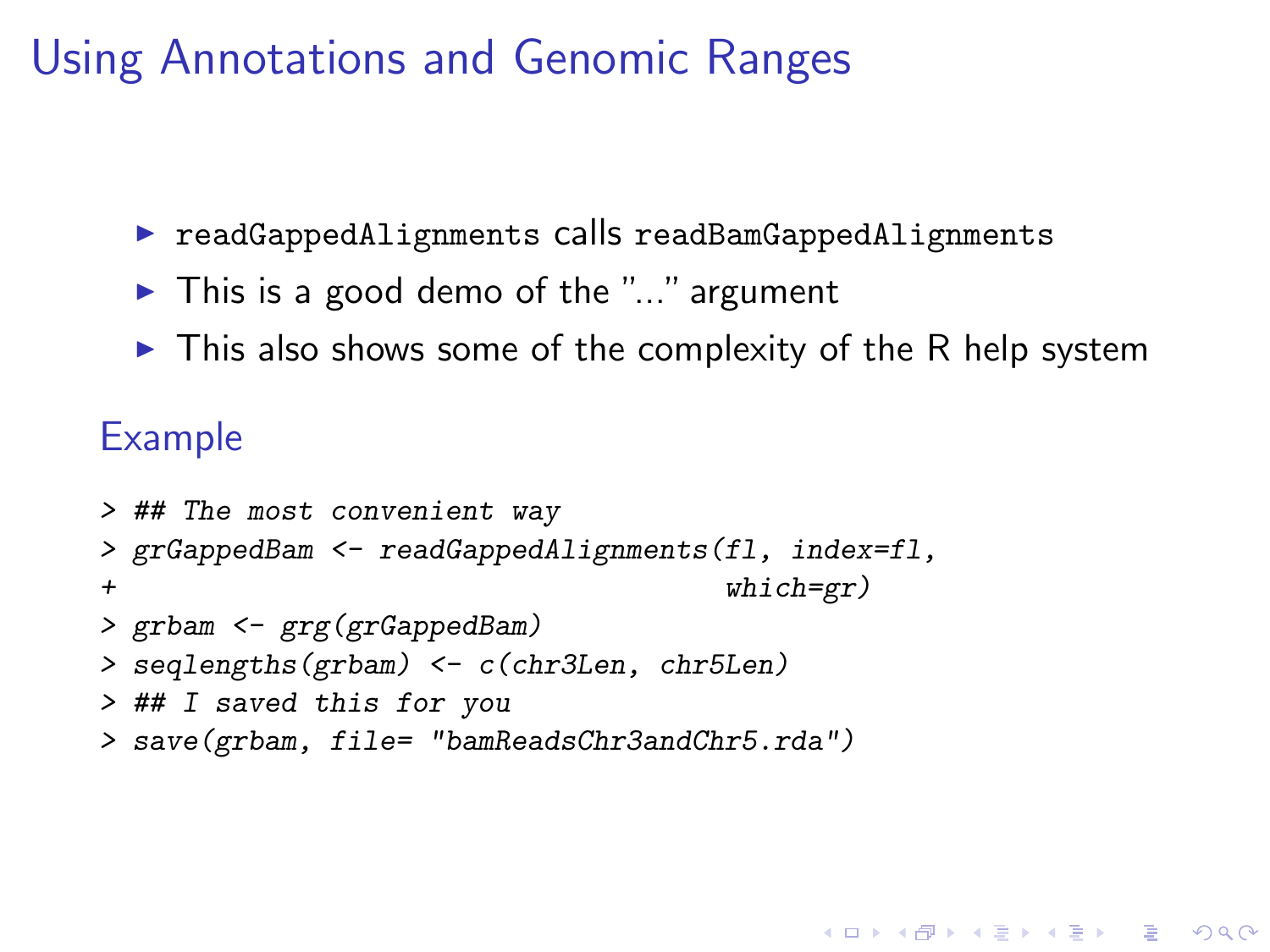# Using Annotations and Genomic Ranges

- ▶ readGappedAlignments calls readBamGappedAlignments
- $\blacktriangleright$  This is a good demo of the "..." argument
- $\triangleright$  This also shows some of the complexity of the R help system

**KORKARA REPASA DA VOCA** 

### Example

```
> ## The most convenient way
> grGappedBam <- readGappedAlignments(fl, index=fl,
+ which=gr)
> grbam <- grg(grGappedBam)
> seqlengths(grbam) <- c(chr3Len, chr5Len)
> ## I saved this for you
> save(grbam, file= "bamReadsChr3andChr5.rda")
```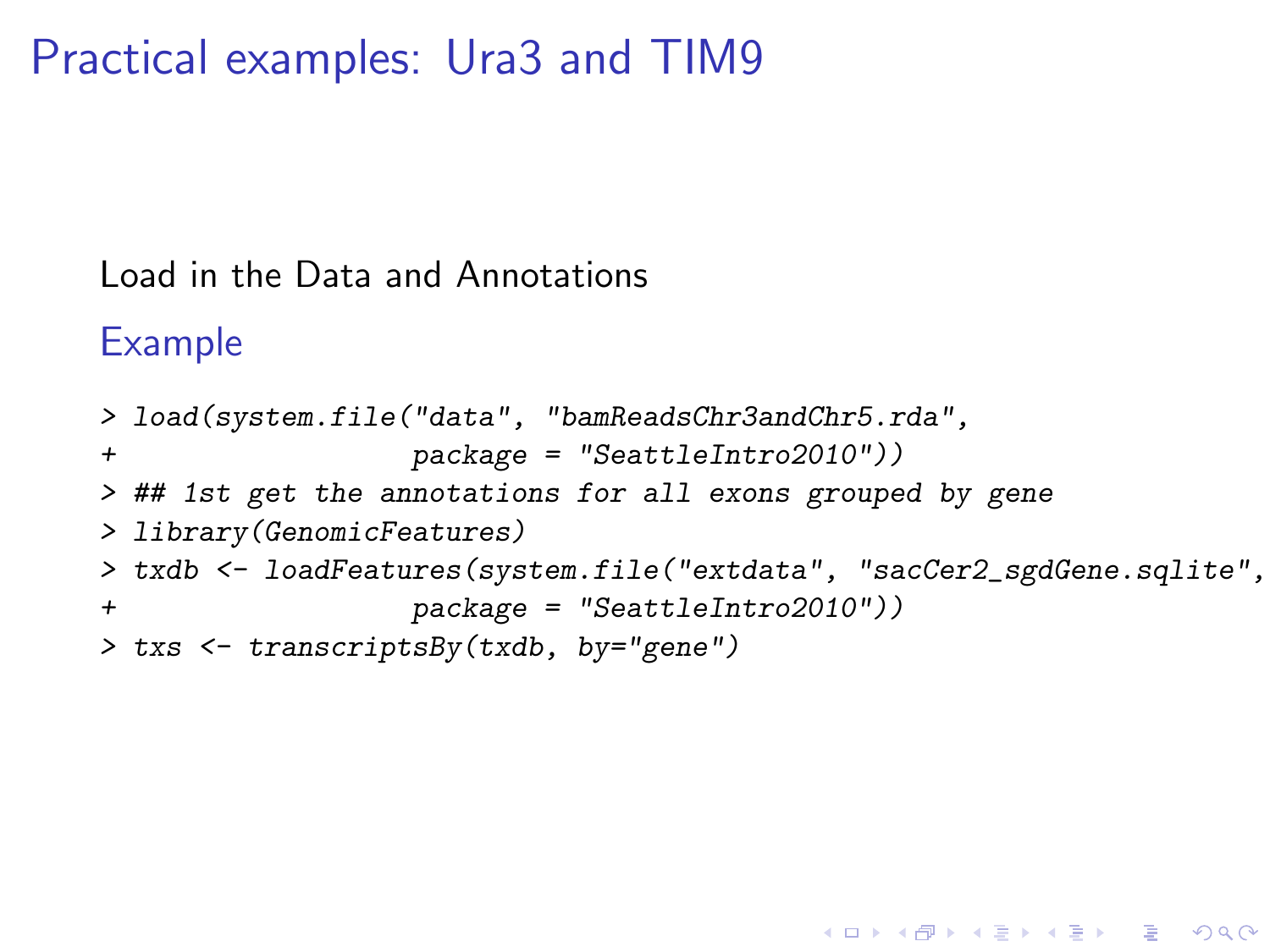#### Load in the Data and Annotations

### Example

```
> load(system.file("data", "bamReadsChr3andChr5.rda",
+ package = "SeattleIntro2010"))
> ## 1st get the annotations for all exons grouped by gene
> library(GenomicFeatures)
> txdb <- loadFeatures(system.file("extdata", "sacCer2_sgdGene.sqlite",
+ package = "SeattleIntro2010"))
> txs <- transcriptsBy(txdb, by="gene")
```
**KORKARA REPASA DA VOCA**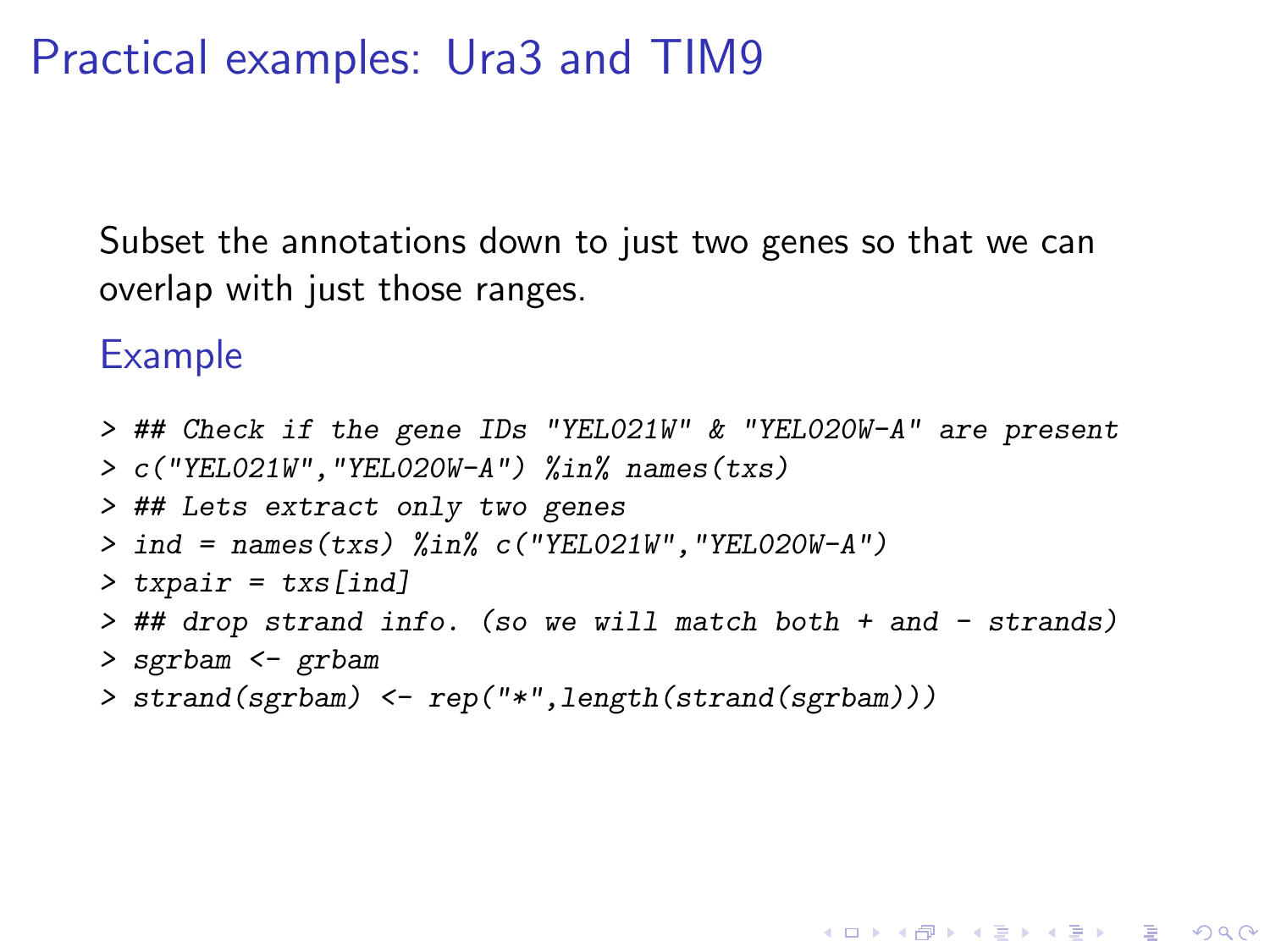Subset the annotations down to just two genes so that we can overlap with just those ranges.

#### Example

> ## Check if the gene IDs "YEL021W" & "YEL020W-A" are present > c("YEL021W","YEL020W-A") %in% names(txs) > ## Lets extract only two genes  $>$  ind = names(txs)  $%$ in $%$  c("YEL021W","YEL020W-A")  $>$  txpair = txs[ind] > ## drop strand info. (so we will match both + and - strands) > sgrbam <- grbam > strand(sgrbam) <- rep("\*",length(strand(sgrbam)))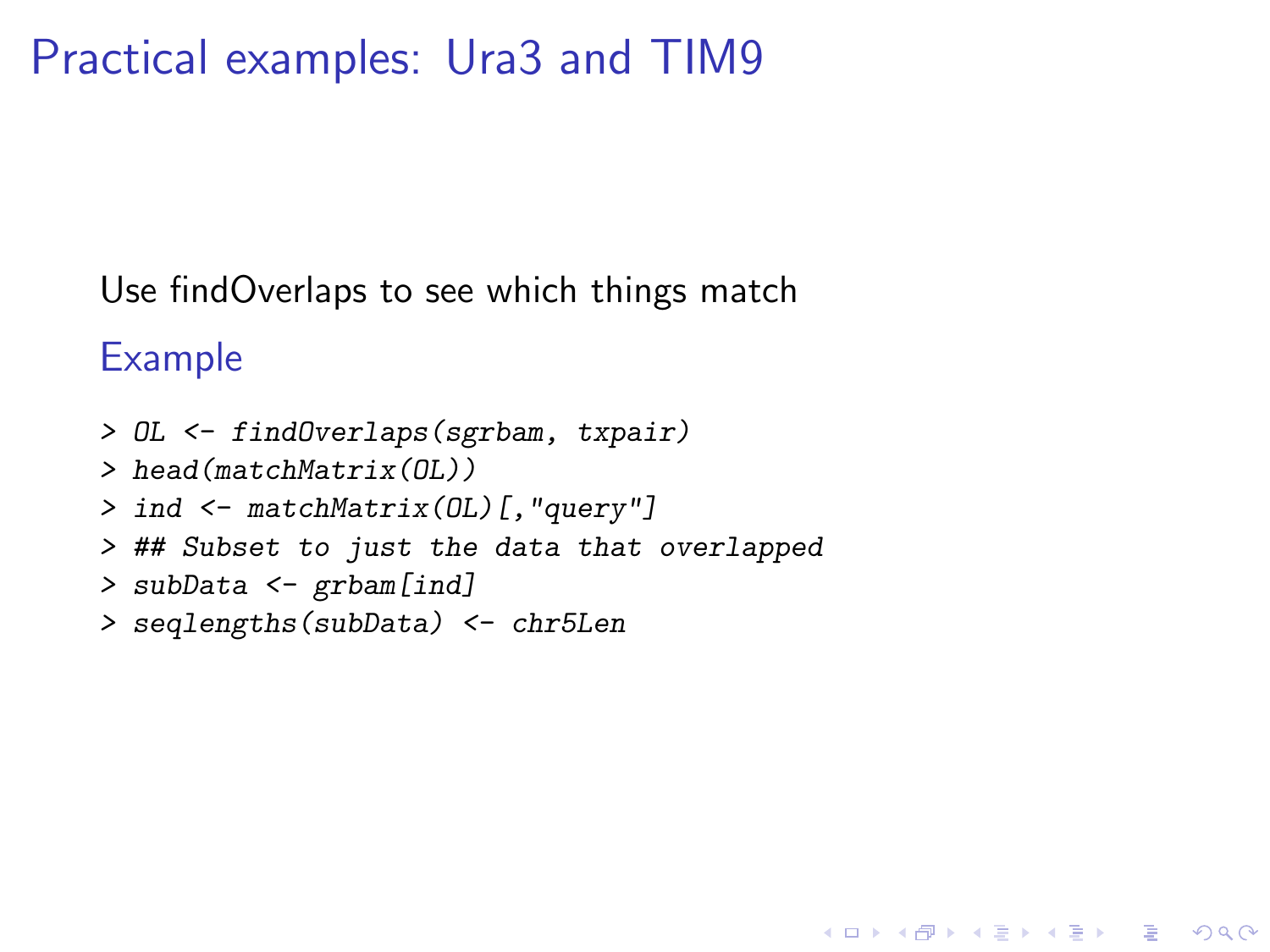Use findOverlaps to see which things match

Example

- > OL <- findOverlaps(sgrbam, txpair)
- > head(matchMatrix(OL))
- > ind <- matchMatrix(OL)[,"query"]
- > ## Subset to just the data that overlapped

**KORKARYKERKER OQO** 

- > subData <- grbam[ind]
- > seqlengths(subData) <- chr5Len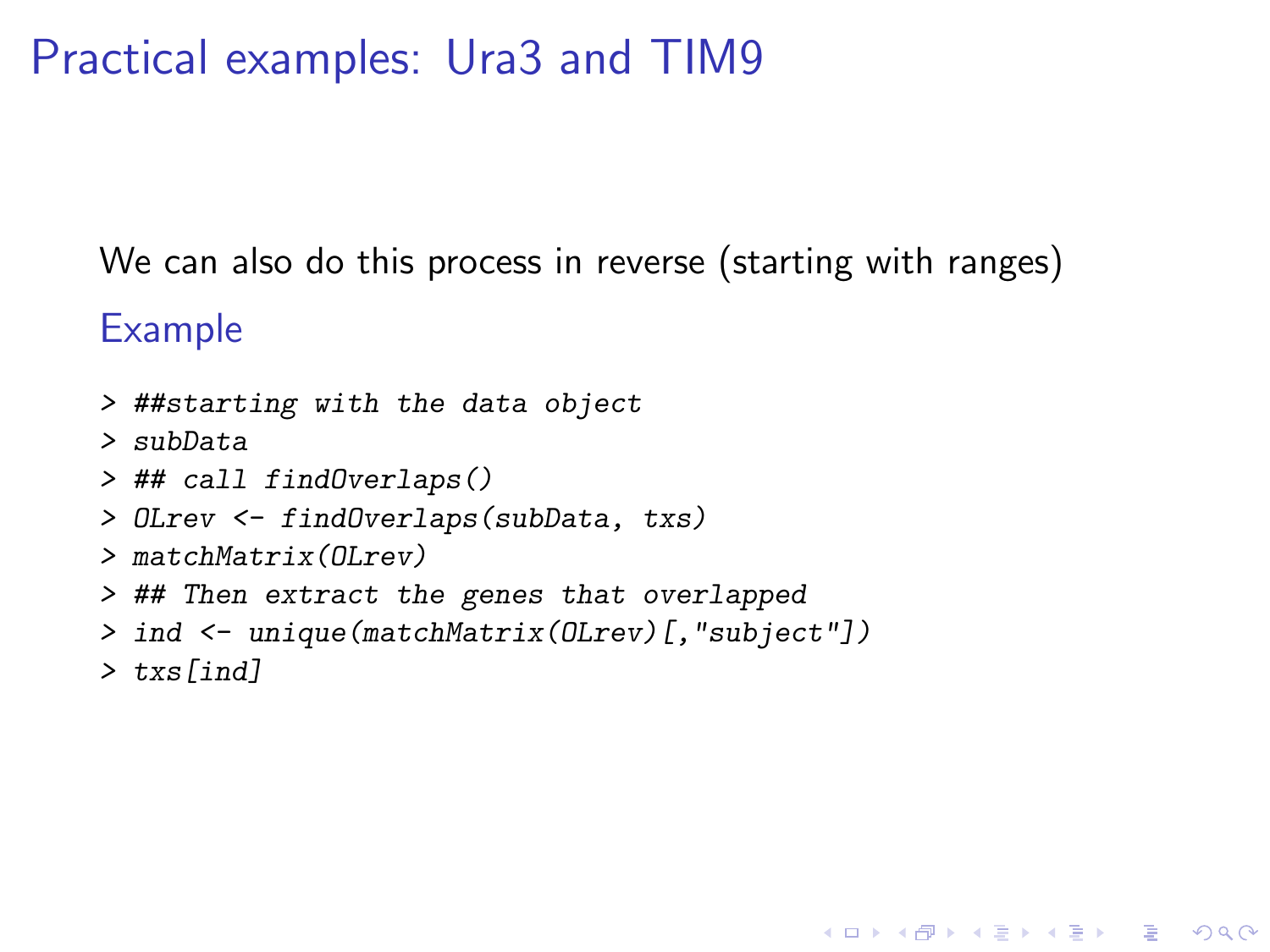We can also do this process in reverse (starting with ranges)

**KORKARYKERKER OQO** 

Example

- > ##starting with the data object
- > subData
- > ## call findOverlaps()
- > OLrev <- findOverlaps(subData, txs)
- > matchMatrix(OLrev)
- > ## Then extract the genes that overlapped
- > ind <- unique(matchMatrix(OLrev)[,"subject"])
- > txs[ind]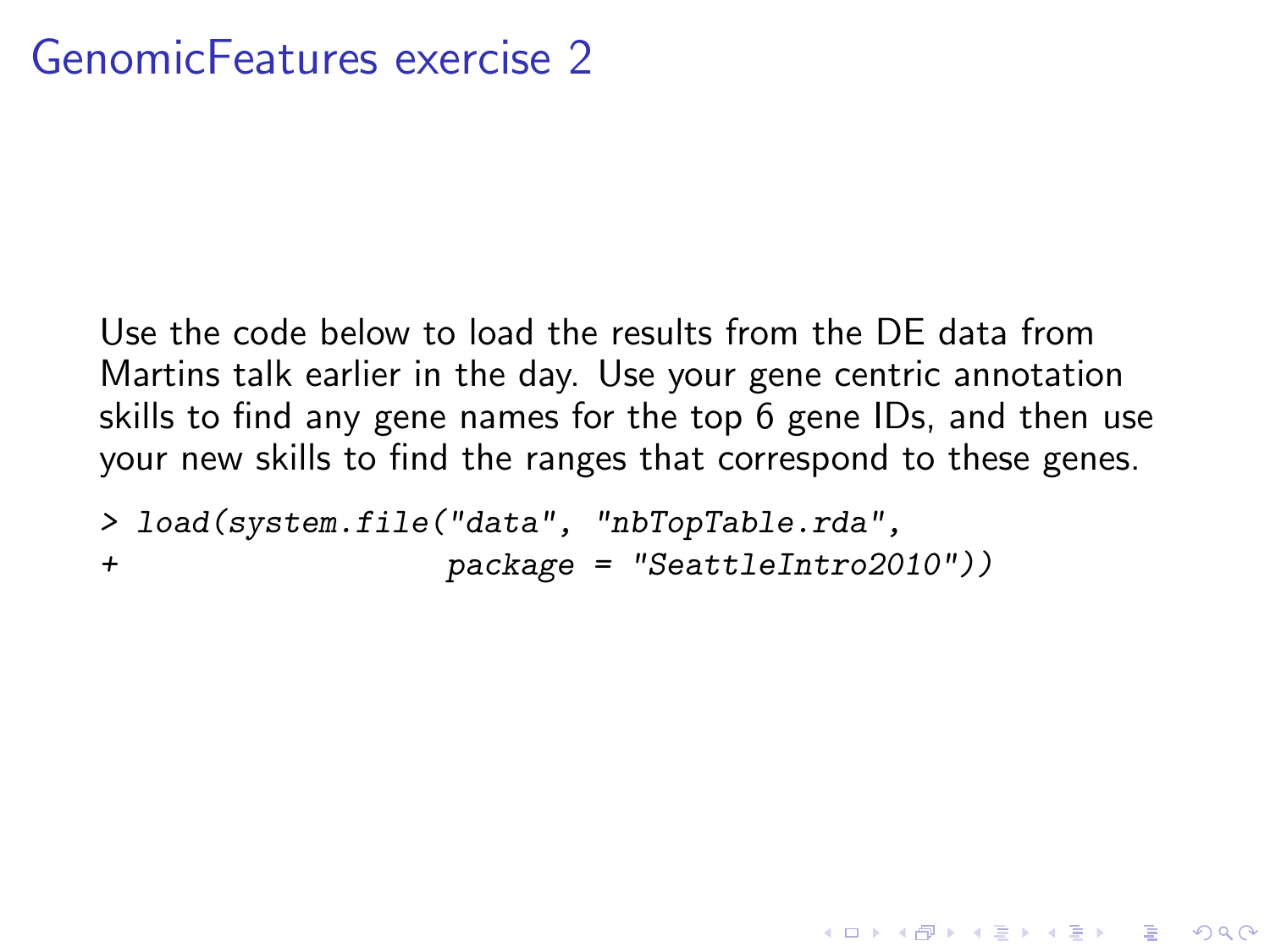Use the code below to load the results from the DE data from Martins talk earlier in the day. Use your gene centric annotation skills to find any gene names for the top 6 gene IDs, and then use your new skills to find the ranges that correspond to these genes.

4 0 > 4 4 + 4 = + 4 = + = + + 0 4 0 +

```
> load(system.file("data", "nbTopTable.rda",
+ package = "SeattleIntro2010"))
```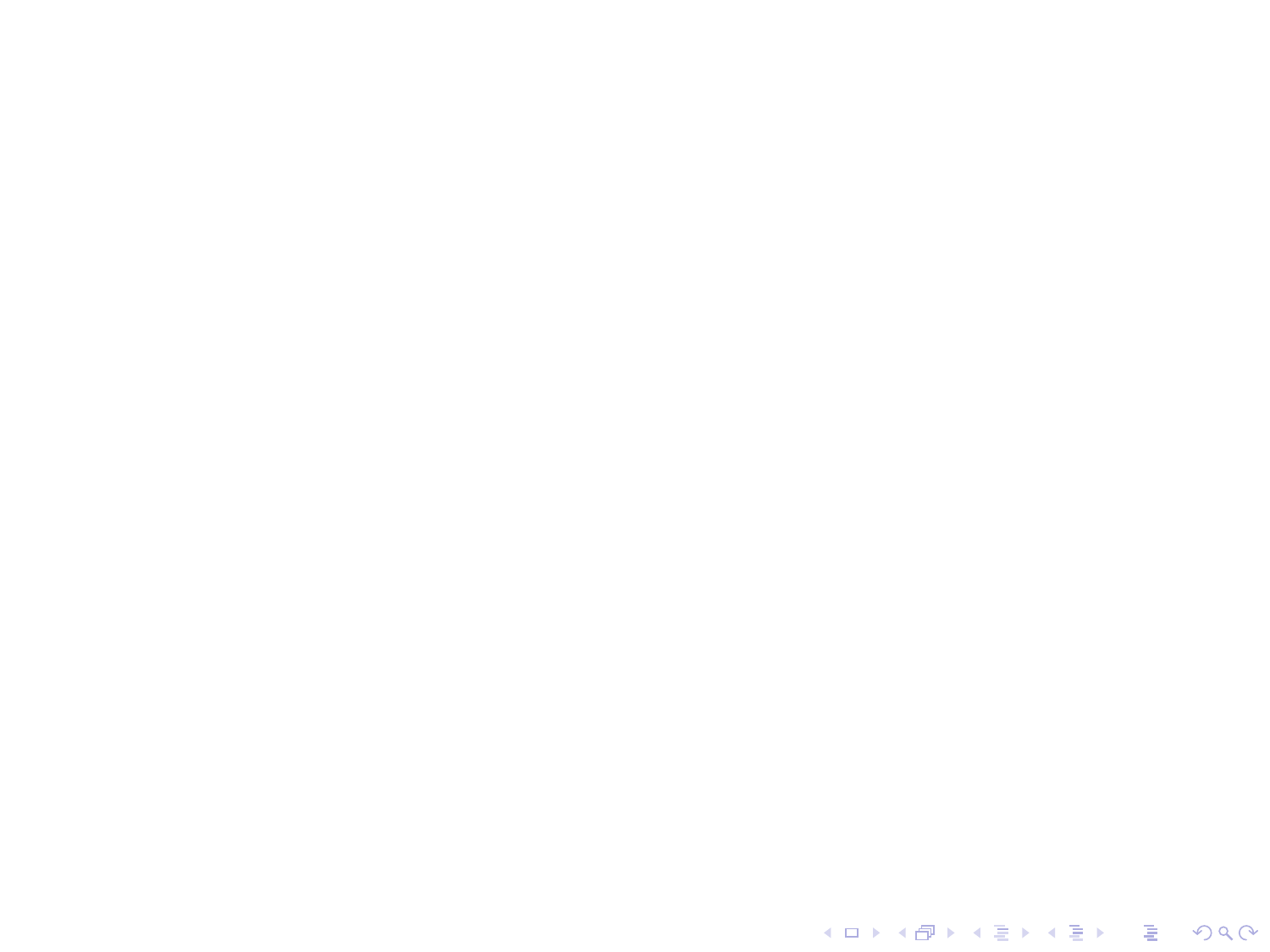K ロ K K d K K B K K B K X A K K K G K C K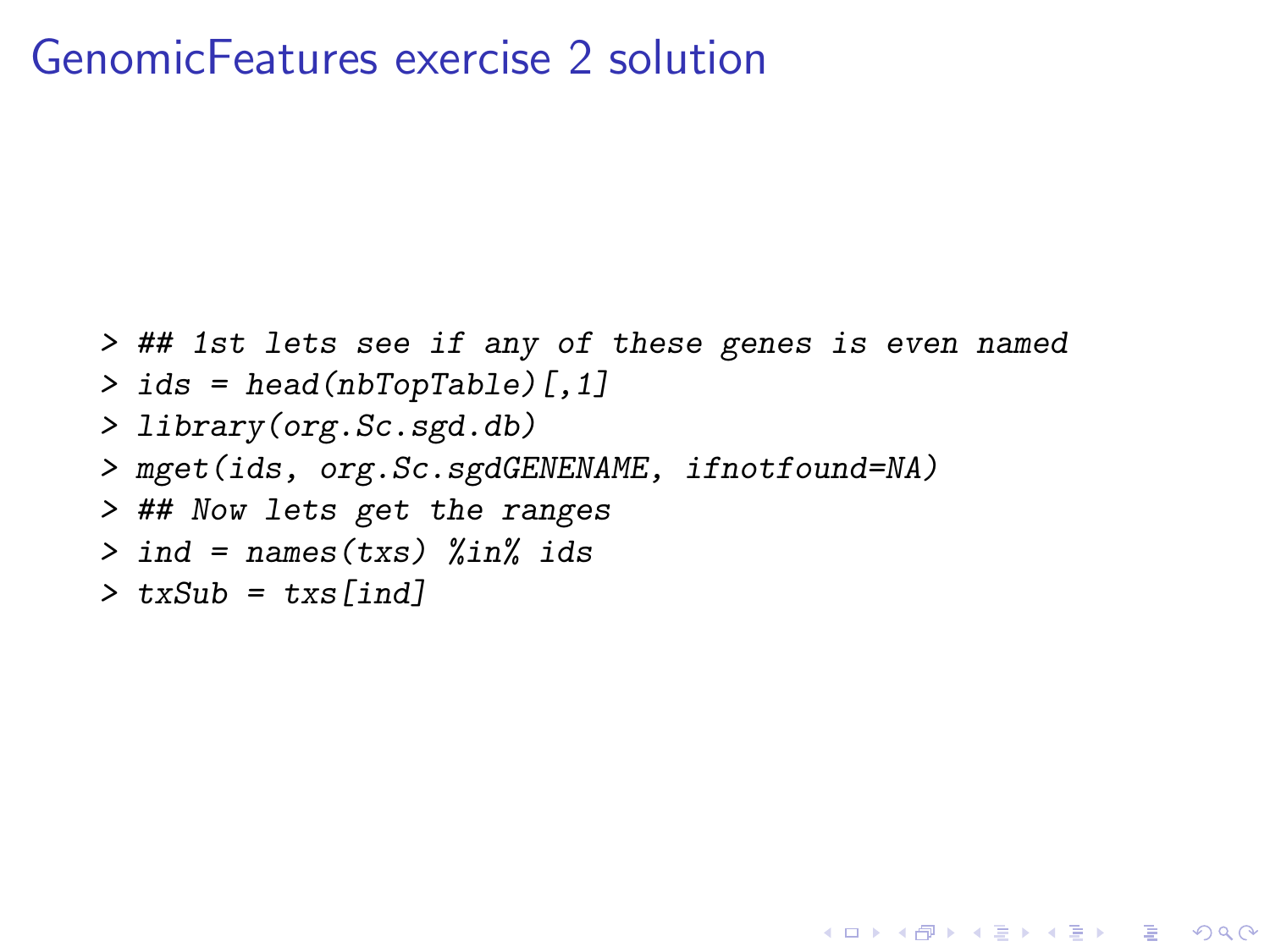### GenomicFeatures exercise 2 solution

> ## 1st lets see if any of these genes is even named  $>$  ids = head(nbTopTable)[,1] > library(org.Sc.sgd.db) > mget(ids, org.Sc.sgdGENENAME, ifnotfound=NA) > ## Now lets get the ranges  $>$  ind = names(txs) %in% ids  $> txSub = txsfind$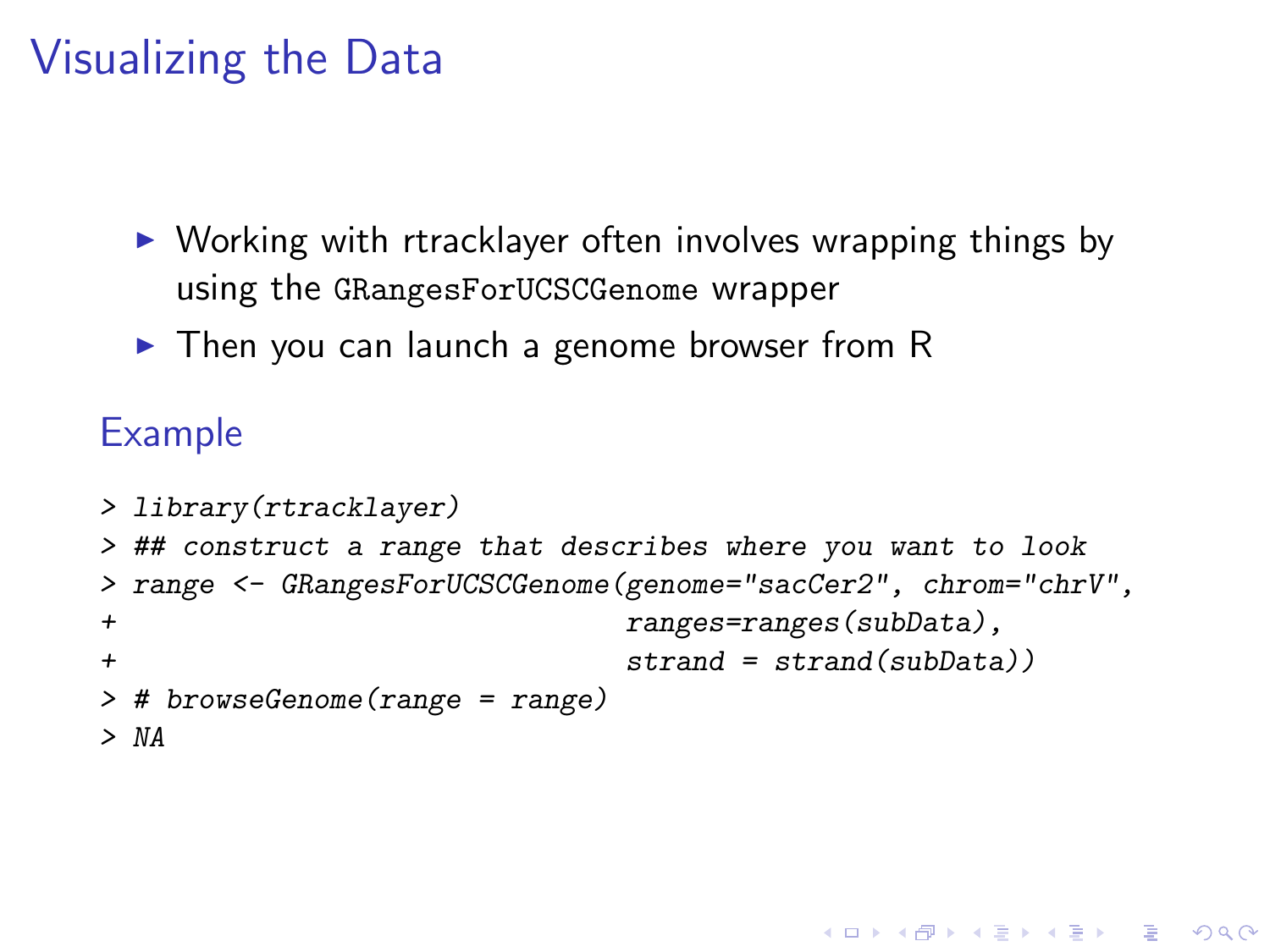$\triangleright$  Working with rtracklayer often involves wrapping things by using the GRangesForUCSCGenome wrapper

 $\triangleright$  Then you can launch a genome browser from R

### Example

```
> library(rtracklayer)
> ## construct a range that describes where you want to look
> range <- GRangesForUCSCGenome(genome="sacCer2", chrom="chrV",
+ ranges=ranges(subData),
+ strand = strand(subData))
> # browseGenome(range = range)
> NA
```
**KORKAR KERKER SAGA**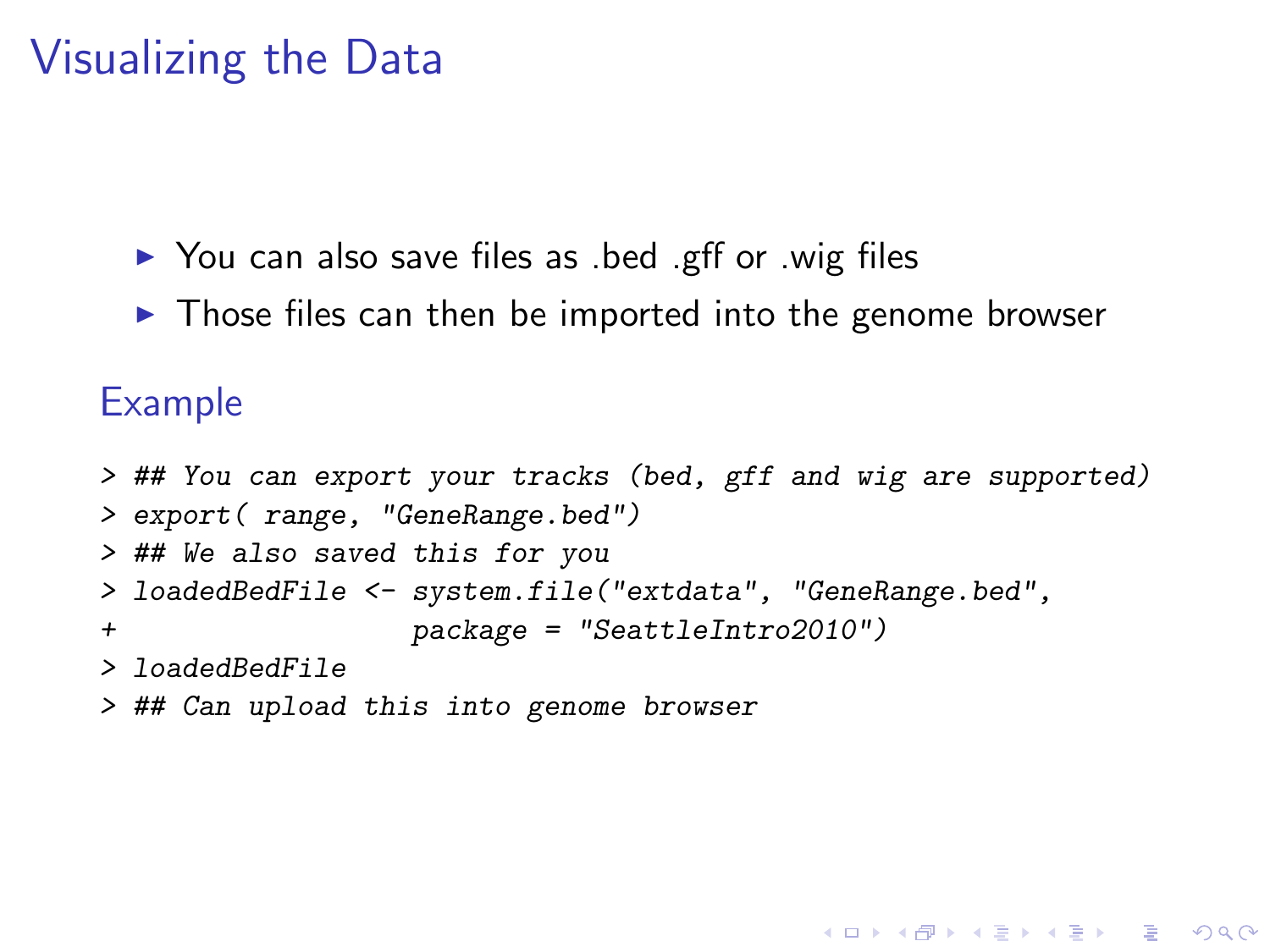- $\triangleright$  You can also save files as .bed .gff or .wig files
- $\triangleright$  Those files can then be imported into the genome browser

#### Example

```
> ## You can export your tracks (bed, gff and wig are supported)
> export( range, "GeneRange.bed")
> ## We also saved this for you
> loadedBedFile <- system.file("extdata", "GeneRange.bed",
+ package = "SeattleIntro2010")
> loadedBedFile
> ## Can upload this into genome browser
```
**KORKARYKERKER OQO**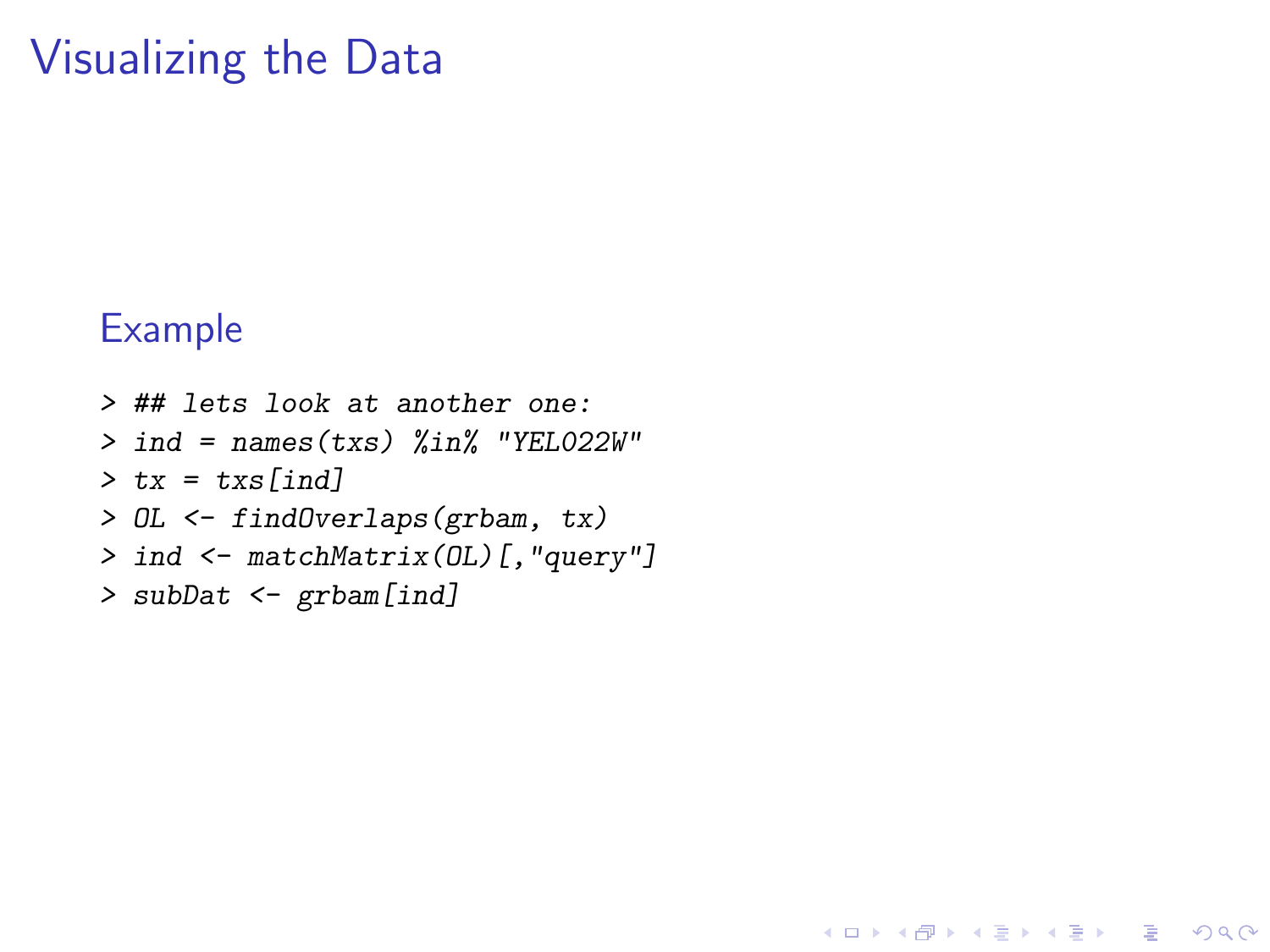#### Example

- > ## lets look at another one:
- $>$  ind = names(txs)  $\frac{\%}{\%}$  "YEL022W"
- $> tx = txs[ind]$
- > OL <- findOverlaps(grbam, tx)
- > ind <- matchMatrix(OL)[,"query"]

K ロ ▶ K 個 ▶ K 할 ▶ K 할 ▶ 이 할 → 이익 @

> subDat <- grbam[ind]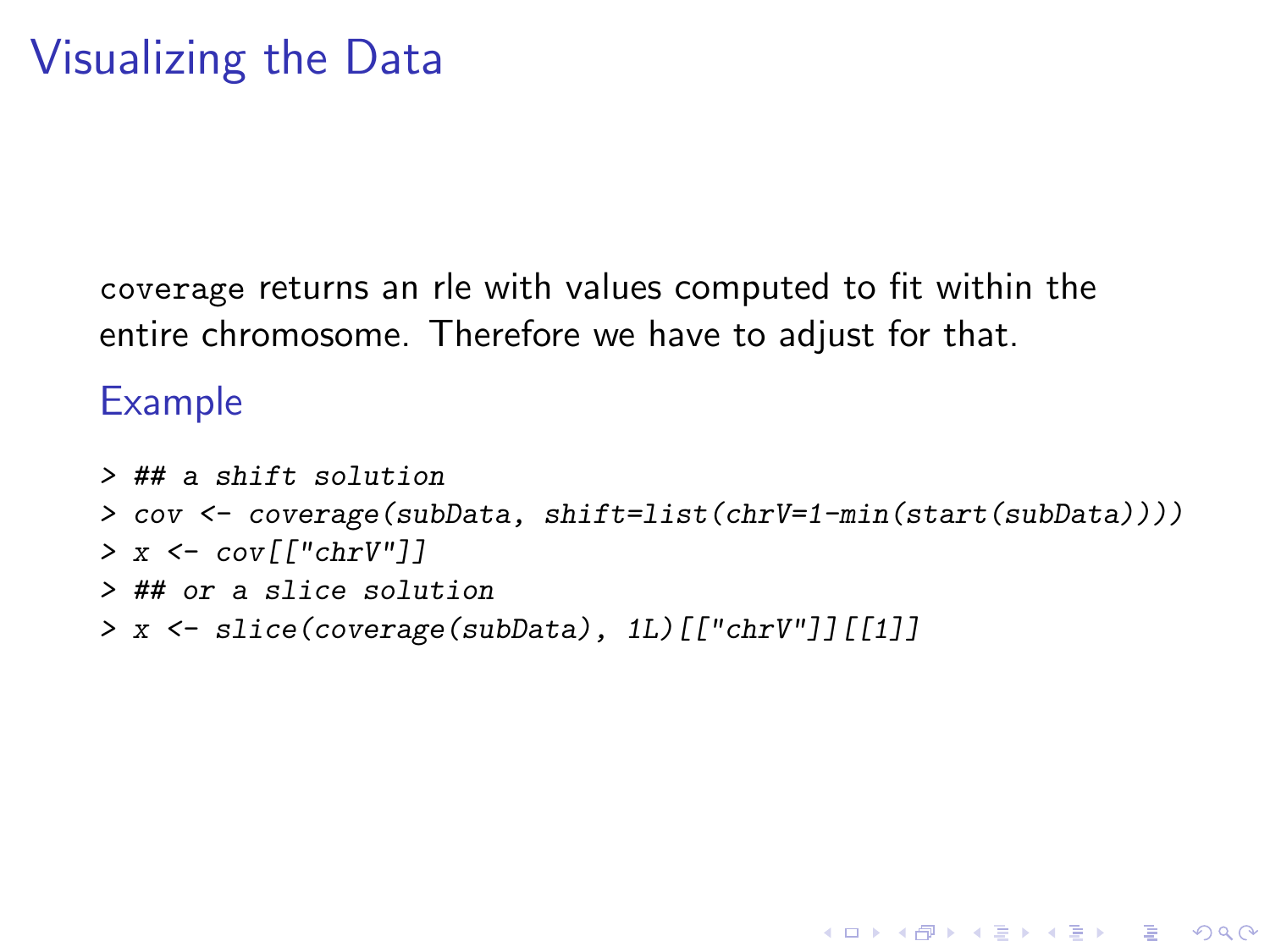coverage returns an rle with values computed to fit within the entire chromosome. Therefore we have to adjust for that.

### Example

> ## a shift solution > cov <- coverage(subData, shift=list(chrV=1-min(start(subData))))  $> x < -\frac{cov[\text{r}^{\prime\prime}(\text{r})]}{cov[\text{r}^{\prime\prime}]}$ > ## or a slice solution > x <- slice(coverage(subData), 1L)[["chrV"]][[1]]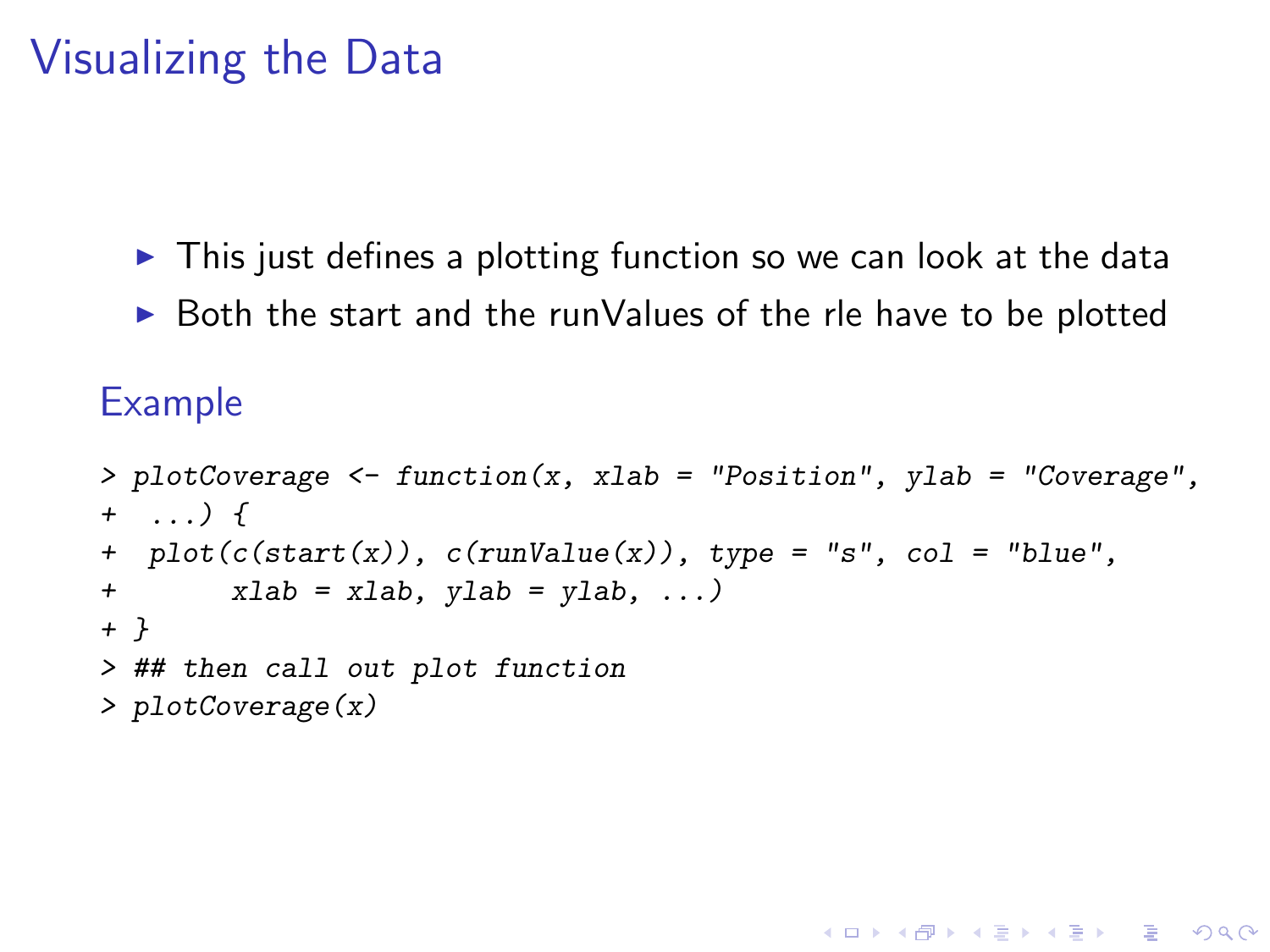- $\triangleright$  This just defines a plotting function so we can look at the data
- $\triangleright$  Both the start and the runValues of the rle have to be plotted

#### Example

```
> plotCoverage <- function(x, xlab = "Position", ylab = "Coverage",
+ ...) \{+ plot(c(start(x)), c(runValue(x)), type = "s", col = "blue",+ xlab = xlab, ylab = ylab, ...)+ }
> ## then call out plot function
> plotCoverage(x)
```
**KORKARYKERKER OQO**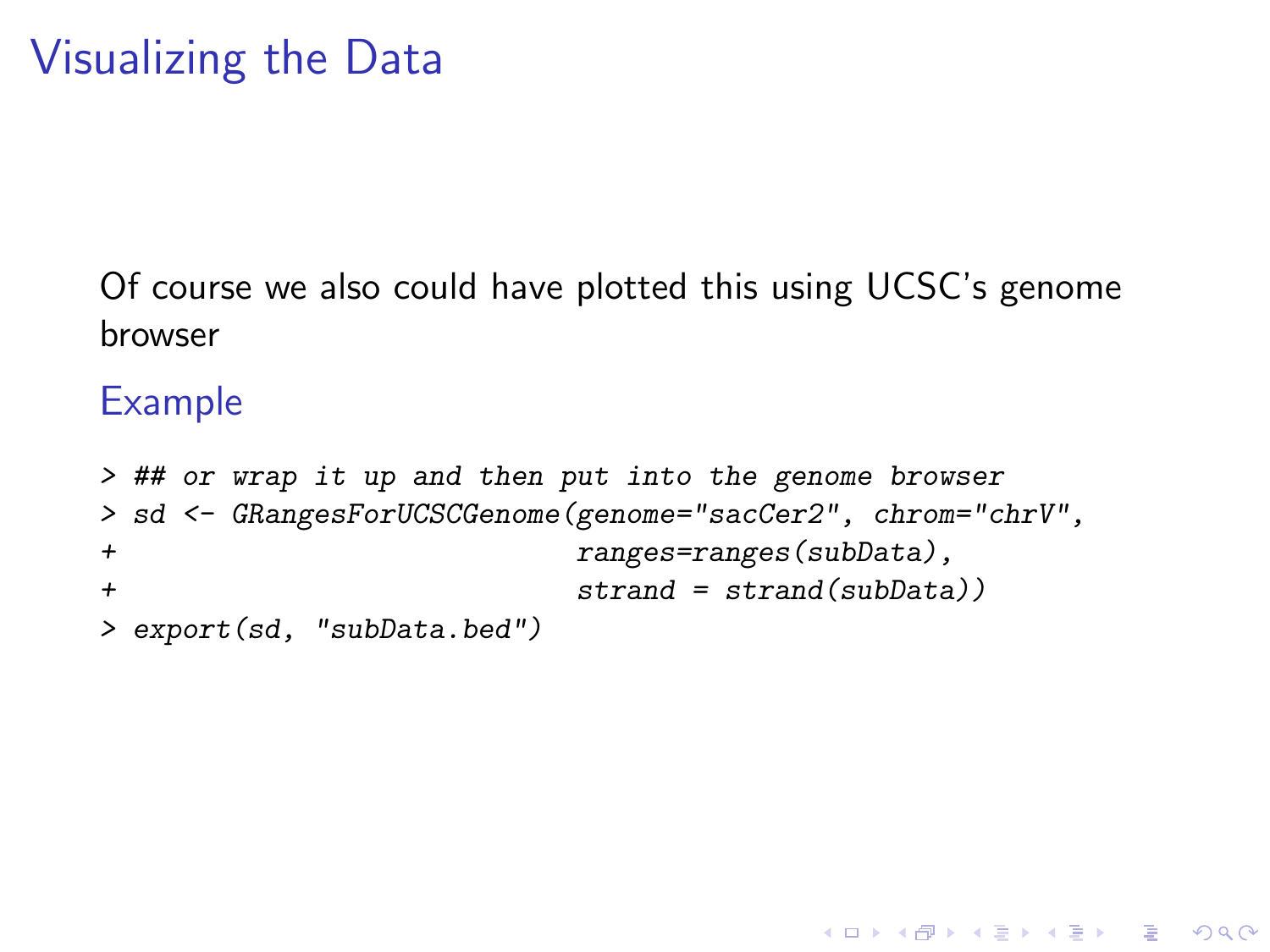Of course we also could have plotted this using UCSC's genome browser

#### Example

```
> ## or wrap it up and then put into the genome browser
> sd <- GRangesForUCSCGenome(genome="sacCer2", chrom="chrV",
+ ranges=ranges(subData),
+ strand = strand(subData))
> export(sd, "subData.bed")
```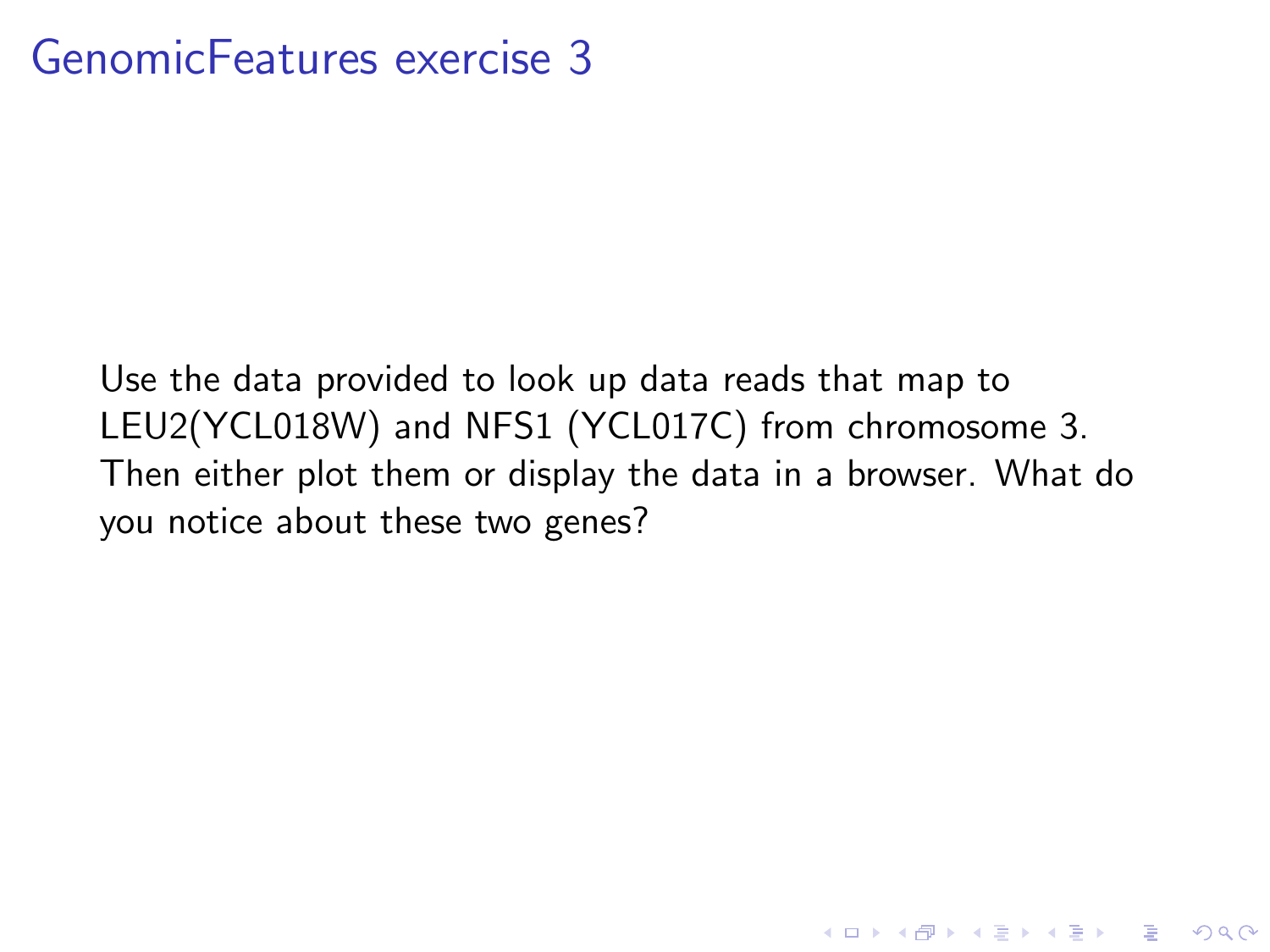### GenomicFeatures exercise 3

Use the data provided to look up data reads that map to LEU2(YCL018W) and NFS1 (YCL017C) from chromosome 3. Then either plot them or display the data in a browser. What do you notice about these two genes?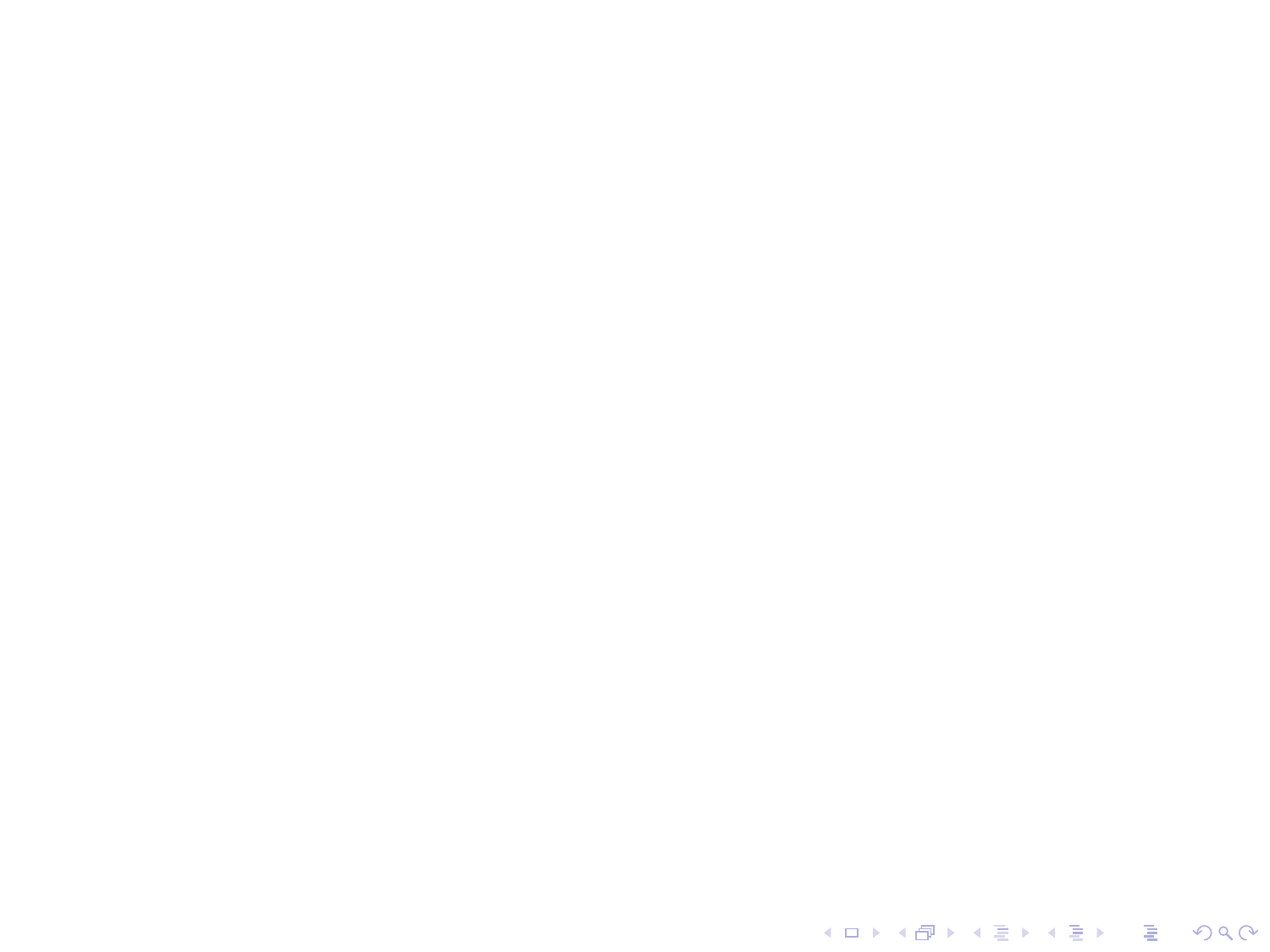K ロ K K d K K B K K B K X A K K K G K C K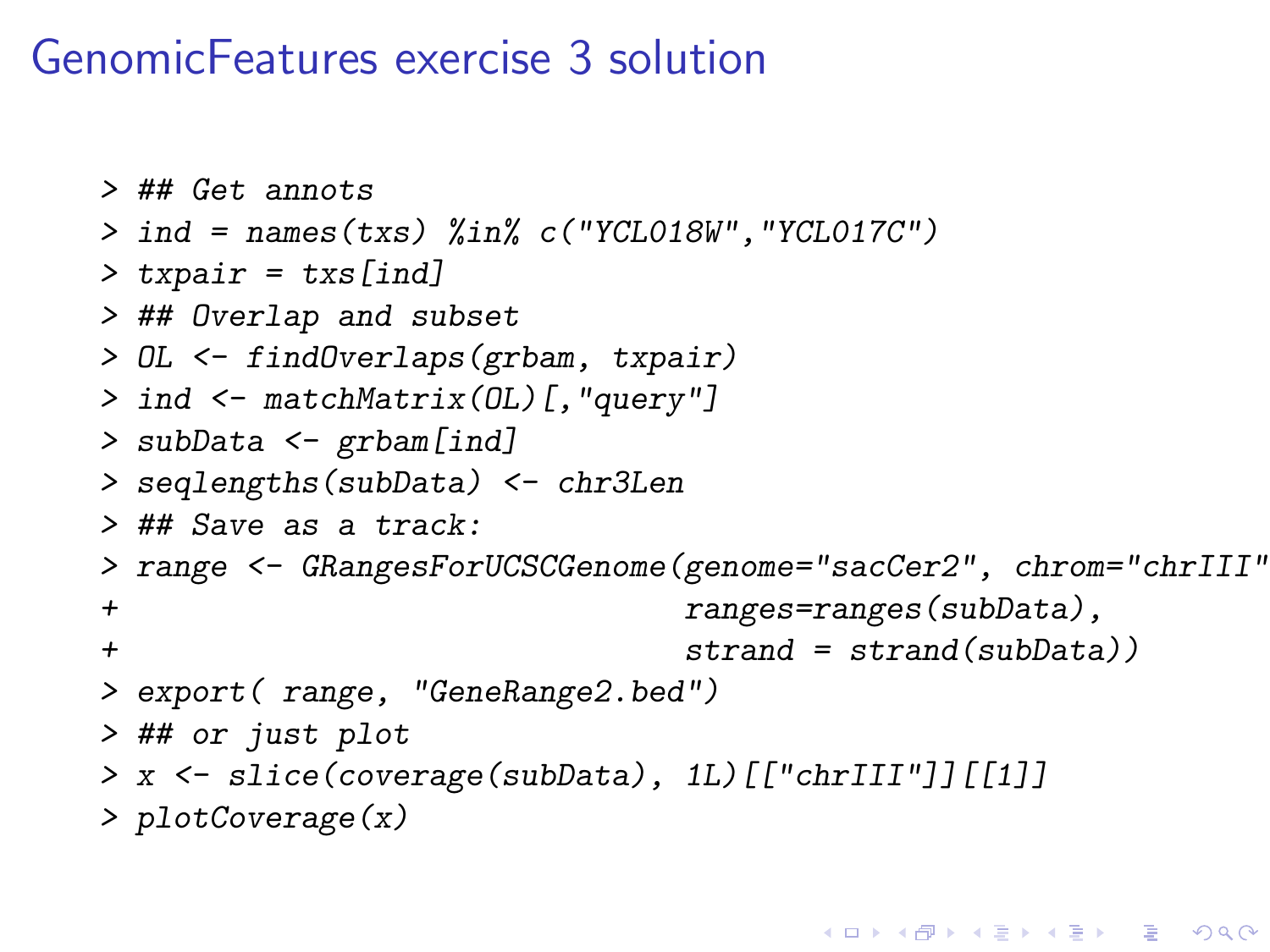## GenomicFeatures exercise 3 solution

```
> ## Get annots
> ind = names(txs) \frac{\%}{\%}in\frac{\%}{\%} c("YCL018W", "YCL017C")
> txpair = txs[ind]
> ## Overlap and subset
> OL <- findOverlaps(grbam, txpair)
> ind <- matchMatrix(OL)[,"query"]
> subData <- grbam[ind]
> seqlengths(subData) <- chr3Len
> ## Save as a track:
> range <- GRangesForUCSCGenome(genome="sacCer2", chrom="chrIII"
+ ranges=ranges(subData),
+ strand = strand(subData))
> export( range, "GeneRange2.bed")
> ## or just plot
> x <- slice(coverage(subData), 1L)[["chrIII"]][[1]]
> plotCoverage(x)
```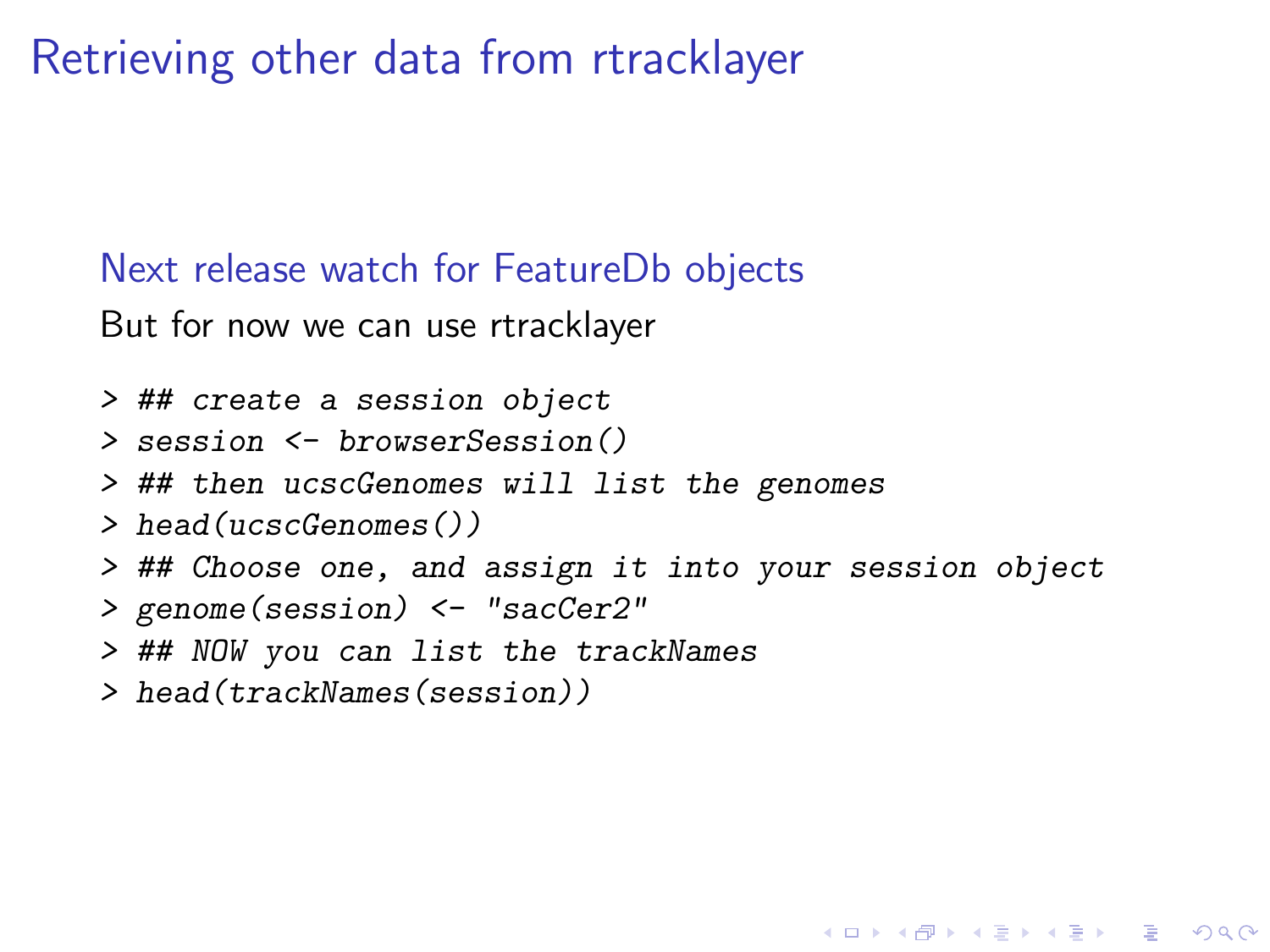## Retrieving other data from rtracklayer

### Next release watch for FeatureDb objects

But for now we can use rtracklayer

- > ## create a session object
- > session <- browserSession()
- > ## then ucscGenomes will list the genomes
- > head(ucscGenomes())
- > ## Choose one, and assign it into your session object

**KORKARYKERKER OQO** 

- > genome(session) <- "sacCer2"
- > ## NOW you can list the trackNames
- > head(trackNames(session))